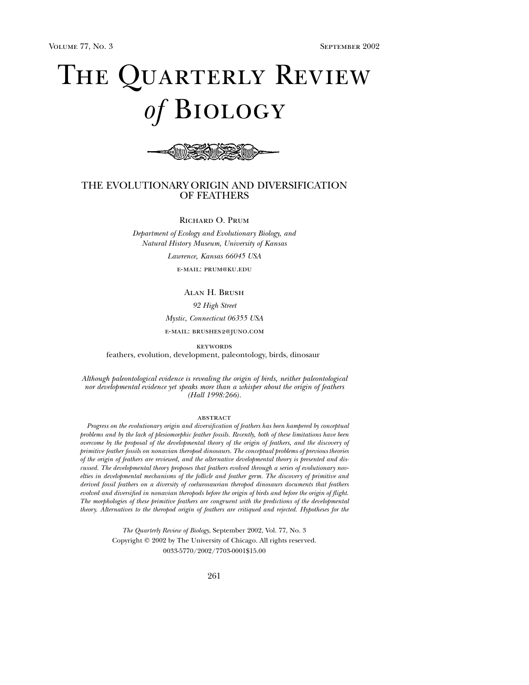# THE QUARTERLY REVIEW *of* Biology



## THE EVOLUTIONARY ORIGIN AND DIVERSIFICATION OF FEATHERS

Richard O. Prum

*Department of Ecology and Evolutionary Biology, and Natural History Museum, University of Kansas Lawrence, Kansas 66045 USA*

e-mail: prum@ku.edu

Alan H. Brush

*92 High Street Mystic, Connecticut 06355 USA* e-mail: brushes2@juno.com

**KEYWORDS** feathers, evolution, development, paleontology, birds, dinosaur

*Although paleontological evidence is revealing the origin of birds, neither paleontological nor developmental evidence yet speaks more than a whisper about the origin of feathers (Hall 1998:266).*

#### **ABSTRACT**

*Progress on the evolutionary origin and diversification of feathers has been hampered by conceptual problems and by the lack of plesiomorphic feather fossils. Recently, both of these limitations have been overcome by the proposal of the developmental theory of the origin of feathers, and the discovery of primitive feather fossils on nonavian theropod dinosaurs. The conceptual problems of previous theories of the origin of feathers are reviewed, and the alternative developmental theory is presented and discussed. The developmental theory proposes that feathers evolved through a series of evolutionary novelties in developmental mechanisms of the follicle and feather germ. The discovery of primitive and derived fossil feathers on a diversity of coelurosaurian theropod dinosaurs documents that feathers evolved and diversified in nonavian theropods before the origin of birds and before the origin of flight. The morphologies of these primitive feathers are congruent with the predictions of the developmental theory. Alternatives to the theropod origin of feathers are critiqued and rejected. Hypotheses for the*

> *The Quarterly Review of Biology*, September 2002, Vol. 77, No. 3 Copyright  $@$  2002 by The University of Chicago. All rights reserved. 0033-5770/2002/7703-0001\$15.00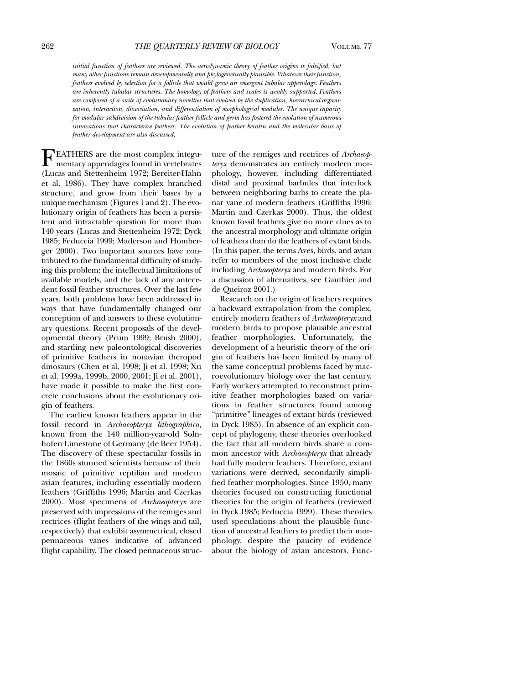*initial function of feathers are reviewed. The aerodynamic theory of feather origins is falsified, but many other functions remain developmentally and phylogenetically plausible. Whatever their function, feathers evolved by selection for a follicle that would grow an emergent tubular appendage. Feathers are inherently tubular structures. The homology of feathers and scales is weakly supported. Feathers are composed of a suite of evolutionary novelties that evolved by the duplication, hierarchical organization, interaction, dissociation, and differentiation of morphological modules. The unique capacity for modular subdivision of the tubular feather follicle and germ has fostered the evolution of numerous innovations that characterize feathers. The evolution of feather keratin and the molecular basis of feather development are also discussed.*

**FEATHERS** are the most complex integumentary appendages found in vertebrates (Lucas and Stettenheim 1972; Bereiter-Hahn et al. 1986). They have complex branched structure, and grow from their bases by a unique mechanism (Figures 1 and 2). The evolutionary origin of feathers has been a persistent and intractable question for more than 140 years (Lucas and Stettenheim 1972; Dyck 1985; Feduccia 1999; Maderson and Homberger 2000). Two important sources have contributed to the fundamental difficulty of studying this problem: the intellectual limitations of available models, and the lack of any antecedent fossil feather structures. Over the last few years, both problems have been addressed in ways that have fundamentally changed our conception of and answers to these evolutionary questions. Recent proposals of the developmental theory (Prum 1999; Brush 2000), and startling new paleontological discoveries of primitive feathers in nonavian theropod dinosaurs (Chen et al. 1998; Ji et al. 1998; Xu et al. 1999a, 1999b, 2000, 2001; Ji et al. 2001), have made it possible to make the first concrete conclusions about the evolutionary origin of feathers.

The earliest known feathers appear in the fossil record in *Archaeopteryx lithographica,* known from the 140 million-year-old Solnhofen Limestone of Germany (de Beer 1954). The discovery of these spectacular fossils in the 1860s stunned scientists because of their mosaic of primitive reptilian and modern avian features, including essentially modern feathers (Griffiths 1996; Martin and Czerkas 2000). Most specimens of *Archaeopteryx* are preserved with impressions of the remiges and rectrices (flight feathers of the wings and tail, respectively) that exhibit asymmetrical, closed pennaceous vanes indicative of advanced flight capability. The closed pennaceous struc-

ture of the remiges and rectrices of *Archaeopteryx* demonstrates an entirely modern morphology, however, including differentiated distal and proximal barbules that interlock between neighboring barbs to create the planar vane of modern feathers (Griffiths 1996; Martin and Czerkas 2000). Thus, the oldest known fossil feathers give no more clues as to the ancestral morphology and ultimate origin of feathers than do the feathers of extant birds. (In this paper, the terms Aves, birds, and avian refer to members of the most inclusive clade including *Archaeopteryx* and modern birds. For a discussion of alternatives, see Gauthier and de Queiroz 2001.)

Research on the origin of feathers requires a backward extrapolation from the complex, entirely modern feathers of *Archaeopteryx* and modern birds to propose plausible ancestral feather morphologies. Unfortunately, the development of a heuristic theory of the origin of feathers has been limited by many of the same conceptual problems faced by macroevolutionary biology over the last century. Early workers attempted to reconstruct primitive feather morphologies based on variations in feather structures found among "primitive" lineages of extant birds (reviewed in Dyck 1985). In absence of an explicit concept of phylogeny, these theories overlooked the fact that all modern birds share a common ancestor with *Archaeopteryx* that already had fully modern feathers. Therefore, extant variations were derived, secondarily simplified feather morphologies. Since 1950, many theories focused on constructing functional theories for the origin of feathers (reviewed in Dyck 1985; Feduccia 1999). These theories used speculations about the plausible function of ancestral feathers to predict their morphology, despite the paucity of evidence about the biology of avian ancestors. Func-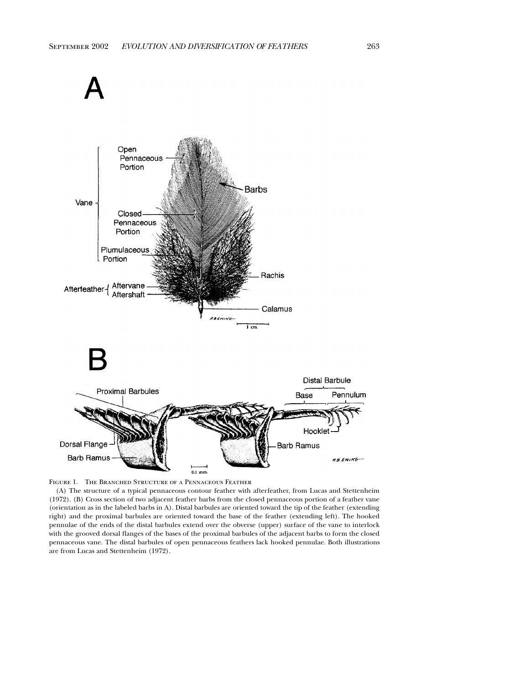



(A) The structure of a typical pennaceous contour feather with afterfeather, from Lucas and Stettenheim (1972). (B) Cross section of two adjacent feather barbs from the closed pennaceous portion of a feather vane (orientation as in the labeled barbs in A). Distal barbules are oriented toward the tip of the feather (extending right) and the proximal barbules are oriented toward the base of the feather (extending left). The hooked pennulae of the ends of the distal barbules extend over the obverse (upper) surface of the vane to interlock with the grooved dorsal flanges of the bases of the proximal barbules of the adjacent barbs to form the closed pennaceous vane. The distal barbules of open pennaceous feathers lack hooked pennulae. Both illustrations are from Lucas and Stettenheim (1972).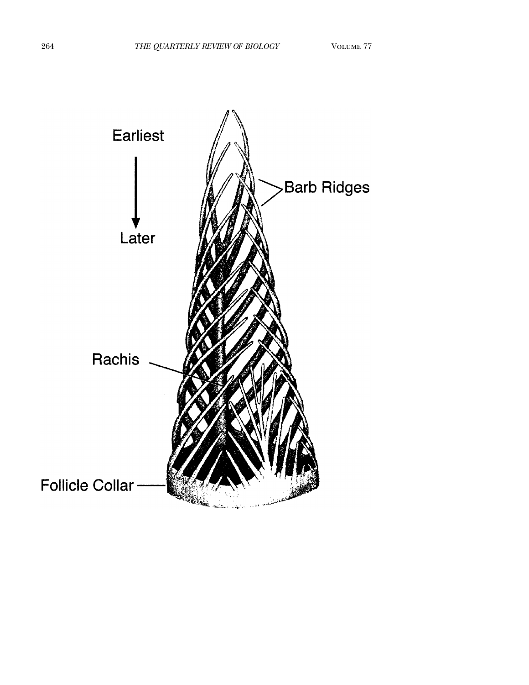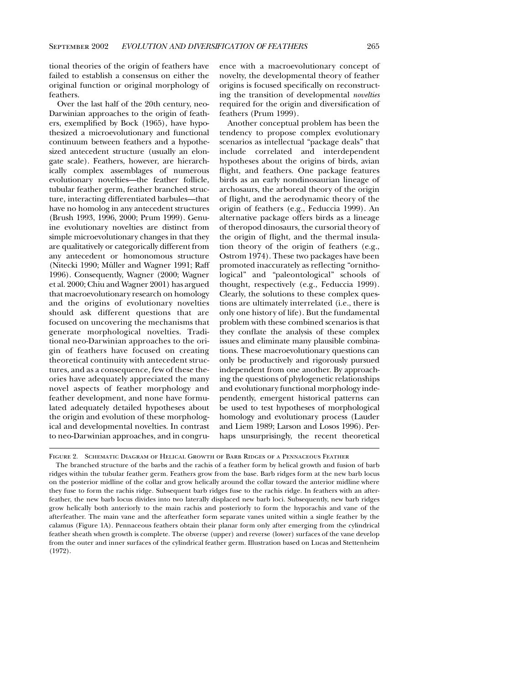tional theories of the origin of feathers have failed to establish a consensus on either the original function or original morphology of feathers.

Over the last half of the 20th century, neo-Darwinian approaches to the origin of feathers, exemplified by Bock (1965), have hypothesized a microevolutionary and functional continuum between feathers and a hypothesized antecedent structure (usually an elongate scale). Feathers, however, are hierarchically complex assemblages of numerous evolutionary novelties—the feather follicle, tubular feather germ, feather branched structure, interacting differentiated barbules—that have no homolog in any antecedent structures (Brush 1993, 1996, 2000; Prum 1999). Genuine evolutionary novelties are distinct from simple microevolutionary changes in that they are qualitatively or categorically different from any antecedent or homonomous structure (Nitecki 1990; Müller and Wagner 1991; Raff 1996). Consequently, Wagner (2000; Wagner et al. 2000; Chiu and Wagner 2001) has argued that macroevolutionary research on homology and the origins of evolutionary novelties should ask different questions that are focused on uncovering the mechanisms that generate morphological novelties. Traditional neo-Darwinian approaches to the origin of feathers have focused on creating theoretical continuity with antecedent structures, and as a consequence, few of these theories have adequately appreciated the many novel aspects of feather morphology and feather development, and none have formulated adequately detailed hypotheses about the origin and evolution of these morphological and developmental novelties. In contrast to neo-Darwinian approaches, and in congruence with a macroevolutionary concept of novelty, the developmental theory of feather origins is focused specifically on reconstructing the transition of developmental *novelties* required for the origin and diversification of feathers (Prum 1999).

Another conceptual problem has been the tendency to propose complex evolutionary scenarios as intellectual "package deals" that include correlated and interdependent hypotheses about the origins of birds, avian flight, and feathers. One package features birds as an early nondinosaurian lineage of archosaurs, the arboreal theory of the origin of flight, and the aerodynamic theory of the origin of feathers (e.g., Feduccia 1999). An alternative package offers birds as a lineage of theropod dinosaurs, the cursorial theory of the origin of flight, and the thermal insulation theory of the origin of feathers (e.g., Ostrom 1974). These two packages have been promoted inaccurately as reflecting "ornithological" and "paleontological" schools of thought, respectively (e.g., Feduccia 1999). Clearly, the solutions to these complex questions are ultimately interrelated (i.e., there is only one history of life). But the fundamental problem with these combined scenarios is that they conflate the analysis of these complex issues and eliminate many plausible combinations. These macroevolutionary questions can only be productively and rigorously pursued independent from one another. By approaching the questions of phylogenetic relationships and evolutionary functional morphology independently, emergent historical patterns can be used to test hypotheses of morphological homology and evolutionary process (Lauder and Liem 1989; Larson and Losos 1996). Perhaps unsurprisingly, the recent theoretical

Figure 2. Schematic Diagram of Helical Growth of Barb Ridges of a Pennaceous Feather The branched structure of the barbs and the rachis of a feather form by helical growth and fusion of barb ridges within the tubular feather germ. Feathers grow from the base. Barb ridges form at the new barb locus on the posterior midline of the collar and grow helically around the collar toward the anterior midline where they fuse to form the rachis ridge. Subsequent barb ridges fuse to the rachis ridge. In feathers with an afterfeather, the new barb locus divides into two laterally displaced new barb loci. Subsequently, new barb ridges grow helically both anteriorly to the main rachis and posteriorly to form the hyporachis and vane of the afterfeather. The main vane and the afterfeather form separate vanes united within a single feather by the calamus (Figure 1A). Pennaceous feathers obtain their planar form only after emerging from the cylindrical feather sheath when growth is complete. The obverse (upper) and reverse (lower) surfaces of the vane develop from the outer and inner surfaces of the cylindrical feather germ. Illustration based on Lucas and Stettenheim (1972).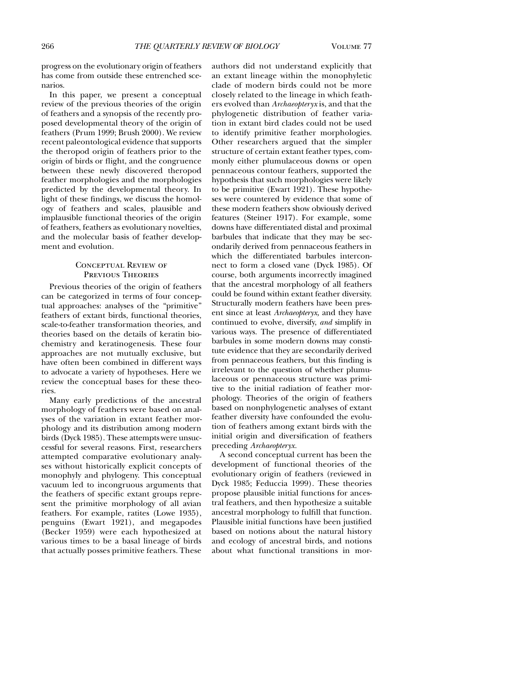progress on the evolutionary origin of feathers has come from outside these entrenched scenarios.

In this paper, we present a conceptual review of the previous theories of the origin of feathers and a synopsis of the recently proposed developmental theory of the origin of feathers (Prum 1999; Brush 2000). We review recent paleontological evidence that supports the theropod origin of feathers prior to the origin of birds or flight, and the congruence between these newly discovered theropod feather morphologies and the morphologies predicted by the developmental theory. In light of these findings, we discuss the homology of feathers and scales, plausible and implausible functional theories of the origin of feathers, feathers as evolutionary novelties, and the molecular basis of feather development and evolution.

## Conceptual Review of Previous Theories

Previous theories of the origin of feathers can be categorized in terms of four conceptual approaches: analyses of the "primitive" feathers of extant birds, functional theories, scale-to-feather transformation theories, and theories based on the details of keratin biochemistry and keratinogenesis. These four approaches are not mutually exclusive, but have often been combined in different ways to advocate a variety of hypotheses. Here we review the conceptual bases for these theories.

Many early predictions of the ancestral morphology of feathers were based on analyses of the variation in extant feather morphology and its distribution among modern birds (Dyck 1985). These attempts were unsuccessful for several reasons. First, researchers attempted comparative evolutionary analyses without historically explicit concepts of monophyly and phylogeny. This conceptual vacuum led to incongruous arguments that the feathers of specific extant groups represent the primitive morphology of all avian feathers. For example, ratites (Lowe 1935), penguins (Ewart 1921), and megapodes (Becker 1959) were each hypothesized at various times to be a basal lineage of birds that actually posses primitive feathers. These

authors did not understand explicitly that an extant lineage within the monophyletic clade of modern birds could not be more closely related to the lineage in which feathers evolved than *Archaeopteryx* is, and that the phylogenetic distribution of feather variation in extant bird clades could not be used to identify primitive feather morphologies. Other researchers argued that the simpler structure of certain extant feather types, commonly either plumulaceous downs or open pennaceous contour feathers, supported the hypothesis that such morphologies were likely to be primitive (Ewart 1921). These hypotheses were countered by evidence that some of these modern feathers show obviously derived features (Steiner 1917). For example, some downs have differentiated distal and proximal barbules that indicate that they may be secondarily derived from pennaceous feathers in which the differentiated barbules interconnect to form a closed vane (Dyck 1985). Of course, both arguments incorrectly imagined that the ancestral morphology of all feathers could be found within extant feather diversity. Structurally modern feathers have been present since at least *Archaeopteryx,* and they have continued to evolve, diversify, *and* simplify in various ways. The presence of differentiated barbules in some modern downs may constitute evidence that they are secondarily derived from pennaceous feathers, but this finding is irrelevant to the question of whether plumulaceous or pennaceous structure was primitive to the initial radiation of feather morphology. Theories of the origin of feathers based on nonphylogenetic analyses of extant feather diversity have confounded the evolution of feathers among extant birds with the initial origin and diversification of feathers preceding *Archaeopteryx.*

A second conceptual current has been the development of functional theories of the evolutionary origin of feathers (reviewed in Dyck 1985; Feduccia 1999). These theories propose plausible initial functions for ancestral feathers, and then hypothesize a suitable ancestral morphology to fulfill that function. Plausible initial functions have been justified based on notions about the natural history and ecology of ancestral birds, and notions about what functional transitions in mor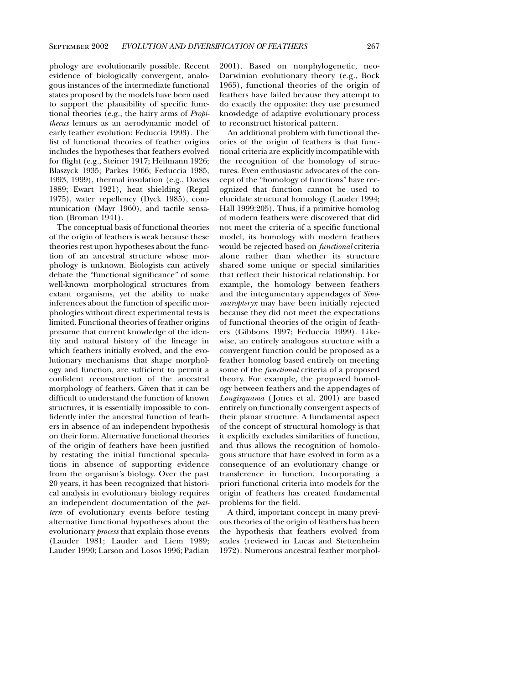phology are evolutionarily possible. Recent evidence of biologically convergent, analogous instances of the intermediate functional states proposed by the models have been used to support the plausibility of specific functional theories (e.g., the hairy arms of *Propithecus* lemurs as an aerodynamic model of early feather evolution: Feduccia 1993). The list of functional theories of feather origins includes the hypotheses that feathers evolved for flight (e.g., Steiner 1917; Heilmann 1926; Blaszyck 1935; Parkes 1966; Feduccia 1985, 1993, 1999), thermal insulation (e.g., Davies 1889; Ewart 1921), heat shielding (Regal 1975), water repellency (Dyck 1985), communication (Mayr 1960), and tactile sensation (Broman 1941).

The conceptual basis of functional theories of the origin of feathers is weak because these theories rest upon hypotheses about the function of an ancestral structure whose morphology is unknown. Biologists can actively debate the "functional significance" of some well-known morphological structures from extant organisms, yet the ability to make inferences about the function of specific morphologies without direct experimental tests is limited. Functional theories of feather origins presume that current knowledge of the identity and natural history of the lineage in which feathers initially evolved, and the evolutionary mechanisms that shape morphology and function, are sufficient to permit a confident reconstruction of the ancestral morphology of feathers. Given that it can be difficult to understand the function of known structures, it is essentially impossible to confidently infer the ancestral function of feathers in absence of an independent hypothesis on their form. Alternative functional theories of the origin of feathers have been justified by restating the initial functional speculations in absence of supporting evidence from the organism's biology. Over the past 20 years, it has been recognized that historical analysis in evolutionary biology requires an independent documentation of the *pattern* of evolutionary events before testing alternative functional hypotheses about the evolutionary *process* that explain those events (Lauder 1981; Lauder and Liem 1989; Lauder 1990; Larson and Losos 1996; Padian

2001). Based on nonphylogenetic, neo-Darwinian evolutionary theory (e.g., Bock 1965), functional theories of the origin of feathers have failed because they attempt to do exactly the opposite: they use presumed knowledge of adaptive evolutionary process to reconstruct historical pattern.

An additional problem with functional theories of the origin of feathers is that functional criteria are explicitly incompatible with the recognition of the homology of structures. Even enthusiastic advocates of the concept of the "homology of functions" have recognized that function cannot be used to elucidate structural homology (Lauder 1994; Hall 1999:205). Thus, if a primitive homolog of modern feathers were discovered that did not meet the criteria of a specific functional model, its homology with modern feathers would be rejected based on *functional* criteria alone rather than whether its structure shared some unique or special similarities that reflect their historical relationship. For example, the homology between feathers and the integumentary appendages of *Sinosauropteryx* may have been initially rejected because they did not meet the expectations of functional theories of the origin of feathers (Gibbons 1997; Feduccia 1999). Likewise, an entirely analogous structure with a convergent function could be proposed as a feather homolog based entirely on meeting some of the *functional* criteria of a proposed theory. For example, the proposed homology between feathers and the appendages of *Longisquama* ( Jones et al. 2001) are based entirely on functionally convergent aspects of their planar structure. A fundamental aspect of the concept of structural homology is that it explicitly excludes similarities of function, and thus allows the recognition of homologous structure that have evolved in form as a consequence of an evolutionary change or transference in function. Incorporating a priori functional criteria into models for the origin of feathers has created fundamental problems for the field.

A third, important concept in many previous theories of the origin of feathers has been the hypothesis that feathers evolved from scales (reviewed in Lucas and Stettenheim 1972). Numerous ancestral feather morphol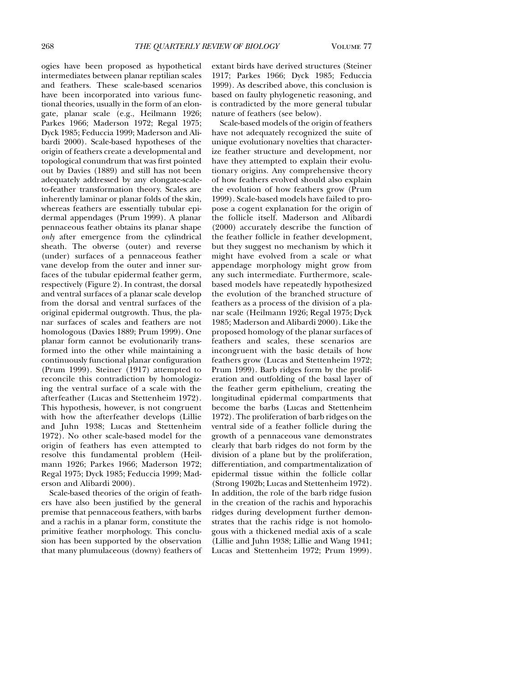ogies have been proposed as hypothetical intermediates between planar reptilian scales and feathers. These scale-based scenarios have been incorporated into various functional theories, usually in the form of an elongate, planar scale (e.g., Heilmann 1926; Parkes 1966; Maderson 1972; Regal 1975; Dyck 1985; Feduccia 1999; Maderson and Alibardi 2000). Scale-based hypotheses of the origin of feathers create a developmental and topological conundrum that was first pointed out by Davies (1889) and still has not been adequately addressed by any elongate-scaleto-feather transformation theory. Scales are inherently laminar or planar folds of the skin, whereas feathers are essentially tubular epidermal appendages (Prum 1999). A planar pennaceous feather obtains its planar shape *only* after emergence from the cylindrical sheath. The obverse (outer) and reverse (under) surfaces of a pennaceous feather vane develop from the outer and inner surfaces of the tubular epidermal feather germ, respectively (Figure 2). In contrast, the dorsal and ventral surfaces of a planar scale develop from the dorsal and ventral surfaces of the original epidermal outgrowth. Thus, the planar surfaces of scales and feathers are not homologous (Davies 1889; Prum 1999). One planar form cannot be evolutionarily transformed into the other while maintaining a continuously functional planar configuration (Prum 1999). Steiner (1917) attempted to reconcile this contradiction by homologizing the ventral surface of a scale with the afterfeather (Lucas and Stettenheim 1972). This hypothesis, however, is not congruent with how the afterfeather develops (Lillie and Juhn 1938; Lucas and Stettenheim 1972). No other scale-based model for the origin of feathers has even attempted to resolve this fundamental problem (Heilmann 1926; Parkes 1966; Maderson 1972; Regal 1975; Dyck 1985; Feduccia 1999; Maderson and Alibardi 2000).

Scale-based theories of the origin of feathers have also been justified by the general premise that pennaceous feathers, with barbs and a rachis in a planar form, constitute the primitive feather morphology. This conclusion has been supported by the observation that many plumulaceous (downy) feathers of extant birds have derived structures (Steiner 1917; Parkes 1966; Dyck 1985; Feduccia 1999). As described above, this conclusion is based on faulty phylogenetic reasoning, and is contradicted by the more general tubular nature of feathers (see below).

Scale-based models of the origin of feathers have not adequately recognized the suite of unique evolutionary novelties that characterize feather structure and development, nor have they attempted to explain their evolutionary origins. Any comprehensive theory of how feathers evolved should also explain the evolution of how feathers grow (Prum 1999). Scale-based models have failed to propose a cogent explanation for the origin of the follicle itself. Maderson and Alibardi (2000) accurately describe the function of the feather follicle in feather development, but they suggest no mechanism by which it might have evolved from a scale or what appendage morphology might grow from any such intermediate. Furthermore, scalebased models have repeatedly hypothesized the evolution of the branched structure of feathers as a process of the division of a planar scale (Heilmann 1926; Regal 1975; Dyck 1985; Maderson and Alibardi 2000). Like the proposed homology of the planar surfaces of feathers and scales, these scenarios are incongruent with the basic details of how feathers grow (Lucas and Stettenheim 1972; Prum 1999). Barb ridges form by the proliferation and outfolding of the basal layer of the feather germ epithelium, creating the longitudinal epidermal compartments that become the barbs (Lucas and Stettenheim 1972). The proliferation of barb ridges on the ventral side of a feather follicle during the growth of a pennaceous vane demonstrates clearly that barb ridges do not form by the division of a plane but by the proliferation, differentiation, and compartmentalization of epidermal tissue within the follicle collar (Strong 1902b; Lucas and Stettenheim 1972). In addition, the role of the barb ridge fusion in the creation of the rachis and hyporachis ridges during development further demonstrates that the rachis ridge is not homologous with a thickened medial axis of a scale (Lillie and Juhn 1938; Lillie and Wang 1941; Lucas and Stettenheim 1972; Prum 1999).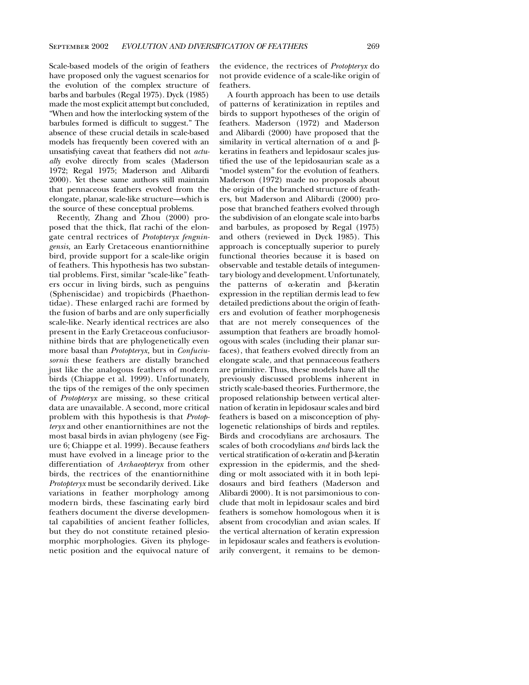Scale-based models of the origin of feathers have proposed only the vaguest scenarios for the evolution of the complex structure of barbs and barbules (Regal 1975). Dyck (1985) made the most explicit attempt but concluded, "When and how the interlocking system of the barbules formed is difficult to suggest." The absence of these crucial details in scale-based models has frequently been covered with an unsatisfying caveat that feathers did not *actually* evolve directly from scales (Maderson 1972; Regal 1975; Maderson and Alibardi 2000). Yet these same authors still maintain that pennaceous feathers evolved from the elongate, planar, scale-like structure—which is the source of these conceptual problems.

Recently, Zhang and Zhou (2000) proposed that the thick, flat rachi of the elongate central rectrices of *Protopteryx fengningensis,* an Early Cretaceous enantiornithine bird, provide support for a scale-like origin of feathers. This hypothesis has two substantial problems. First, similar "scale-like" feathers occur in living birds, such as penguins (Spheniscidae) and tropicbirds (Phaethontidae). These enlarged rachi are formed by the fusion of barbs and are only superficially scale-like. Nearly identical rectrices are also present in the Early Cretaceous confuciusornithine birds that are phylogenetically even more basal than *Protopteryx,* but in *Confuciusornis* these feathers are distally branched just like the analogous feathers of modern birds (Chiappe et al. 1999). Unfortunately, the tips of the remiges of the only specimen of *Protopteryx* are missing, so these critical data are unavailable. A second, more critical problem with this hypothesis is that *Protopteryx* and other enantiornithines are not the most basal birds in avian phylogeny (see Figure 6; Chiappe et al. 1999). Because feathers must have evolved in a lineage prior to the differentiation of *Archaeopteryx* from other birds, the rectrices of the enantiornithine *Protopteryx* must be secondarily derived. Like variations in feather morphology among modern birds, these fascinating early bird feathers document the diverse developmental capabilities of ancient feather follicles, but they do not constitute retained plesiomorphic morphologies. Given its phylogenetic position and the equivocal nature of the evidence, the rectrices of *Protopteryx* do not provide evidence of a scale-like origin of feathers.

A fourth approach has been to use details of patterns of keratinization in reptiles and birds to support hypotheses of the origin of feathers. Maderson (1972) and Maderson and Alibardi (2000) have proposed that the similarity in vertical alternation of  $\alpha$  and  $\beta$ keratins in feathers and lepidosaur scales justified the use of the lepidosaurian scale as a "model system" for the evolution of feathers. Maderson (1972) made no proposals about the origin of the branched structure of feathers, but Maderson and Alibardi (2000) propose that branched feathers evolved through the subdivision of an elongate scale into barbs and barbules, as proposed by Regal (1975) and others (reviewed in Dyck 1985). This approach is conceptually superior to purely functional theories because it is based on observable and testable details of integumentary biology and development. Unfortunately, the patterns of  $\alpha$ -keratin and  $\beta$ -keratin expression in the reptilian dermis lead to few detailed predictions about the origin of feathers and evolution of feather morphogenesis that are not merely consequences of the assumption that feathers are broadly homologous with scales (including their planar surfaces), that feathers evolved directly from an elongate scale, and that pennaceous feathers are primitive. Thus, these models have all the previously discussed problems inherent in strictly scale-based theories. Furthermore, the proposed relationship between vertical alternation of keratin in lepidosaur scales and bird feathers is based on a misconception of phylogenetic relationships of birds and reptiles. Birds and crocodylians are archosaurs. The scales of both crocodylians *and* birds lack the vertical stratification of  $\alpha$ -keratin and  $\beta$ -keratin expression in the epidermis, and the shedding or molt associated with it in both lepidosaurs and bird feathers (Maderson and Alibardi 2000). It is not parsimonious to conclude that molt in lepidosaur scales and bird feathers is somehow homologous when it is absent from crocodylian and avian scales. If the vertical alternation of keratin expression in lepidosaur scales and feathers is evolutionarily convergent, it remains to be demon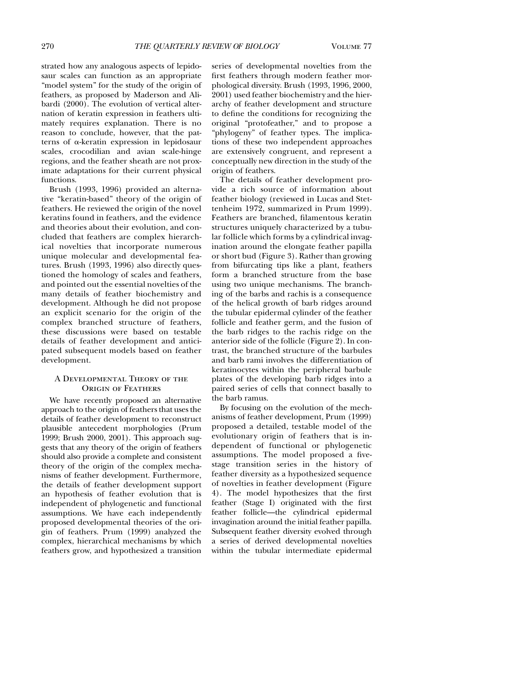strated how any analogous aspects of lepidosaur scales can function as an appropriate "model system" for the study of the origin of feathers, as proposed by Maderson and Alibardi (2000). The evolution of vertical alternation of keratin expression in feathers ultimately requires explanation. There is no reason to conclude, however, that the patterns of  $\alpha$ -keratin expression in lepidosaur scales, crocodilian and avian scale-hinge regions, and the feather sheath are not proximate adaptations for their current physical functions.

Brush (1993, 1996) provided an alternative "keratin-based" theory of the origin of feathers. He reviewed the origin of the novel keratins found in feathers, and the evidence and theories about their evolution, and concluded that feathers are complex hierarchical novelties that incorporate numerous unique molecular and developmental features. Brush (1993, 1996) also directly questioned the homology of scales and feathers, and pointed out the essential novelties of the many details of feather biochemistry and development. Although he did not propose an explicit scenario for the origin of the complex branched structure of feathers, these discussions were based on testable details of feather development and anticipated subsequent models based on feather development.

## A Developmental Theory of the ORIGIN OF FEATHERS

We have recently proposed an alternative approach to the origin of feathers that uses the details of feather development to reconstruct plausible antecedent morphologies (Prum 1999; Brush 2000, 2001). This approach suggests that any theory of the origin of feathers should also provide a complete and consistent theory of the origin of the complex mechanisms of feather development. Furthermore, the details of feather development support an hypothesis of feather evolution that is independent of phylogenetic and functional assumptions. We have each independently proposed developmental theories of the origin of feathers. Prum (1999) analyzed the complex, hierarchical mechanisms by which feathers grow, and hypothesized a transition series of developmental novelties from the first feathers through modern feather morphological diversity. Brush (1993, 1996, 2000, 2001) used feather biochemistry and the hierarchy of feather development and structure to define the conditions for recognizing the original "protofeather," and to propose a "phylogeny" of feather types. The implications of these two independent approaches are extensively congruent, and represent a conceptually new direction in the study of the origin of feathers.

The details of feather development provide a rich source of information about feather biology (reviewed in Lucas and Stettenheim 1972, summarized in Prum 1999). Feathers are branched, filamentous keratin structures uniquely characterized by a tubular follicle which forms by a cylindrical invagination around the elongate feather papilla or short bud (Figure 3). Rather than growing from bifurcating tips like a plant, feathers form a branched structure from the base using two unique mechanisms. The branching of the barbs and rachis is a consequence of the helical growth of barb ridges around the tubular epidermal cylinder of the feather follicle and feather germ, and the fusion of the barb ridges to the rachis ridge on the anterior side of the follicle (Figure 2). In contrast, the branched structure of the barbules and barb rami involves the differentiation of keratinocytes within the peripheral barbule plates of the developing barb ridges into a paired series of cells that connect basally to the barb ramus.

By focusing on the evolution of the mechanisms of feather development, Prum (1999) proposed a detailed, testable model of the evolutionary origin of feathers that is independent of functional or phylogenetic assumptions. The model proposed a fivestage transition series in the history of feather diversity as a hypothesized sequence of novelties in feather development (Figure 4). The model hypothesizes that the first feather (Stage I) originated with the first feather follicle—the cylindrical epidermal invagination around the initial feather papilla. Subsequent feather diversity evolved through a series of derived developmental novelties within the tubular intermediate epidermal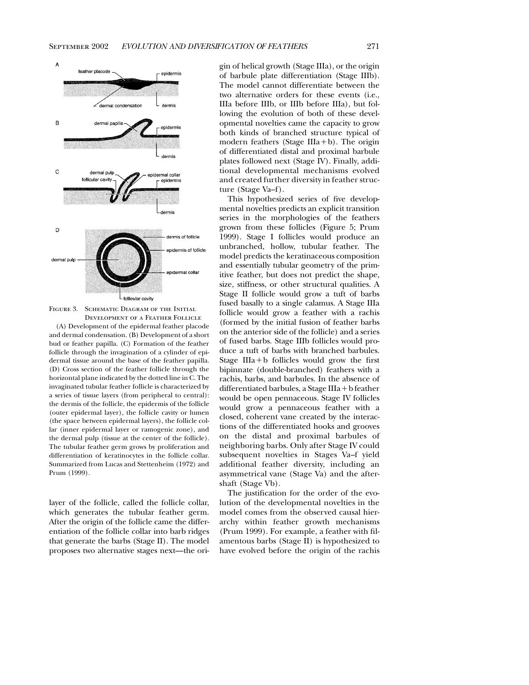

Figure 3. Schematic Diagram of the Initial Development of a Feather Follicle

(A) Development of the epidermal feather placode and dermal condensation. (B) Development of a short bud or feather papilla. (C) Formation of the feather follicle through the invagination of a cylinder of epidermal tissue around the base of the feather papilla. (D) Cross section of the feather follicle through the horizontal plane indicated by the dotted line in C. The invaginated tubular feather follicle is characterized by a series of tissue layers (from peripheral to central): the dermis of the follicle, the epidermis of the follicle (outer epidermal layer), the follicle cavity or lumen (the space between epidermal layers), the follicle collar (inner epidermal layer or ramogenic zone), and the dermal pulp (tissue at the center of the follicle). The tubular feather germ grows by proliferation and differentiation of keratinocytes in the follicle collar. Summarized from Lucas and Stettenheim (1972) and Prum (1999).

layer of the follicle, called the follicle collar, which generates the tubular feather germ. After the origin of the follicle came the differentiation of the follicle collar into barb ridges that generate the barbs (Stage II). The model proposes two alternative stages next—the origin of helical growth (Stage IIIa), or the origin of barbule plate differentiation (Stage IIIb). The model cannot differentiate between the two alternative orders for these events (i.e., IIIa before IIIb, or IIIb before IIIa), but following the evolution of both of these developmental novelties came the capacity to grow both kinds of branched structure typical of modern feathers (Stage IIIa-b). The origin of differentiated distal and proximal barbule plates followed next (Stage IV). Finally, additional developmental mechanisms evolved and created further diversity in feather structure (Stage Va–f).

This hypothesized series of five developmental novelties predicts an explicit transition series in the morphologies of the feathers grown from these follicles (Figure 5; Prum 1999). Stage I follicles would produce an unbranched, hollow, tubular feather. The model predicts the keratinaceous composition and essentially tubular geometry of the primitive feather, but does not predict the shape, size, stiffness, or other structural qualities. A Stage II follicle would grow a tuft of barbs fused basally to a single calamus. A Stage IIIa follicle would grow a feather with a rachis (formed by the initial fusion of feather barbs on the anterior side of the follicle) and a series of fused barbs. Stage IIIb follicles would produce a tuft of barbs with branched barbules. Stage IIIa-b follicles would grow the first bipinnate (double-branched) feathers with a rachis, barbs, and barbules. In the absence of differentiated barbules, a Stage IIIa + b feather would be open pennaceous. Stage IV follicles would grow a pennaceous feather with a closed, coherent vane created by the interactions of the differentiated hooks and grooves on the distal and proximal barbules of neighboring barbs. Only after Stage IV could subsequent novelties in Stages Va–f yield additional feather diversity, including an asymmetrical vane (Stage Va) and the aftershaft (Stage Vb).

The justification for the order of the evolution of the developmental novelties in the model comes from the observed causal hierarchy within feather growth mechanisms (Prum 1999). For example, a feather with filamentous barbs (Stage II) is hypothesized to have evolved before the origin of the rachis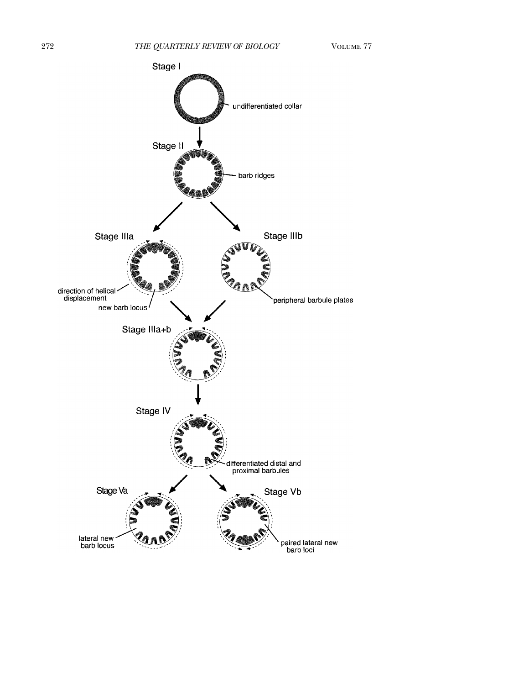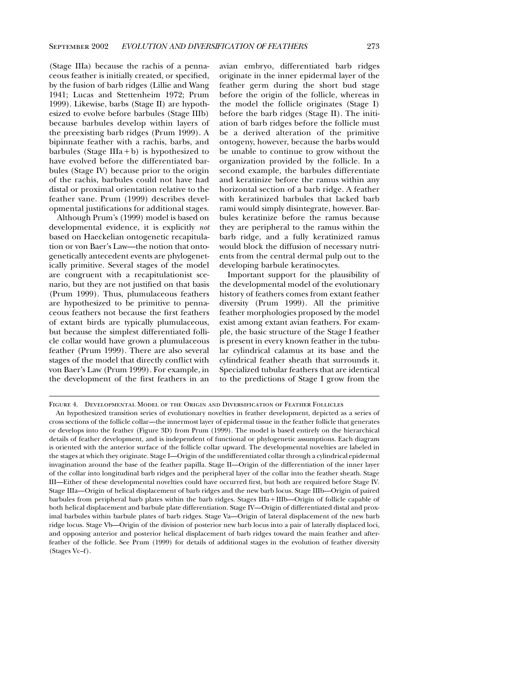(Stage IIIa) because the rachis of a pennaceous feather is initially created, or specified, by the fusion of barb ridges (Lillie and Wang 1941; Lucas and Stettenheim 1972; Prum 1999). Likewise, barbs (Stage II) are hypothesized to evolve before barbules (Stage IIIb) because barbules develop within layers of the preexisting barb ridges (Prum 1999). A bipinnate feather with a rachis, barbs, and barbules (Stage IIIa-b) is hypothesized to have evolved before the differentiated barbules (Stage IV) because prior to the origin of the rachis, barbules could not have had distal or proximal orientation relative to the feather vane. Prum (1999) describes developmental justifications for additional stages.

Although Prum's (1999) model is based on developmental evidence, it is explicitly *not* based on Haeckelian ontogenetic recapitulation or von Baer's Law—the notion that ontogenetically antecedent events are phylogenetically primitive. Several stages of the model are congruent with a recapitulationist scenario, but they are not justified on that basis (Prum 1999). Thus, plumulaceous feathers are hypothesized to be primitive to pennaceous feathers not because the first feathers of extant birds are typically plumulaceous, but because the simplest differentiated follicle collar would have grown a plumulaceous feather (Prum 1999). There are also several stages of the model that directly conflict with von Baer's Law (Prum 1999). For example, in the development of the first feathers in an

avian embryo, differentiated barb ridges originate in the inner epidermal layer of the feather germ during the short bud stage before the origin of the follicle, whereas in the model the follicle originates (Stage I) before the barb ridges (Stage II). The initiation of barb ridges before the follicle must be a derived alteration of the primitive ontogeny, however, because the barbs would be unable to continue to grow without the organization provided by the follicle. In a second example, the barbules differentiate and keratinize before the ramus within any horizontal section of a barb ridge. A feather with keratinized barbules that lacked barb rami would simply disintegrate, however. Barbules keratinize before the ramus because they are peripheral to the ramus within the barb ridge, and a fully keratinized ramus would block the diffusion of necessary nutrients from the central dermal pulp out to the developing barbule keratinocytes.

Important support for the plausibility of the developmental model of the evolutionary history of feathers comes from extant feather diversity (Prum 1999). All the primitive feather morphologies proposed by the model exist among extant avian feathers. For example, the basic structure of the Stage I feather is present in every known feather in the tubular cylindrical calamus at its base and the cylindrical feather sheath that surrounds it. Specialized tubular feathers that are identical to the predictions of Stage I grow from the

Figure 4. Developmental Model of the Origin and Diversification of Feather Follicles

An hypothesized transition series of evolutionary novelties in feather development, depicted as a series of cross sections of the follicle collar—the innermost layer of epidermal tissue in the feather follicle that generates or develops into the feather (Figure 3D) from Prum (1999). The model is based entirely on the hierarchical details of feather development, and is independent of functional or phylogenetic assumptions. Each diagram is oriented with the anterior surface of the follicle collar upward. The developmental novelties are labeled in the stages at which they originate. Stage I—Origin of the undifferentiated collar through a cylindrical epidermal invagination around the base of the feather papilla. Stage II—Origin of the differentiation of the inner layer of the collar into longitudinal barb ridges and the peripheral layer of the collar into the feather sheath. Stage III—Either of these developmental novelties could have occurred first, but both are required before Stage IV. Stage IIIa—Origin of helical displacement of barb ridges and the new barb locus. Stage IIIb—Origin of paired barbules from peripheral barb plates within the barb ridges. Stages IIIa + IIIb—Origin of follicle capable of both helical displacement and barbule plate differentiation. Stage IV—Origin of differentiated distal and proximal barbules within barbule plates of barb ridges. Stage Va—Origin of lateral displacement of the new barb ridge locus. Stage Vb—Origin of the division of posterior new barb locus into a pair of laterally displaced loci, and opposing anterior and posterior helical displacement of barb ridges toward the main feather and afterfeather of the follicle. See Prum (1999) for details of additional stages in the evolution of feather diversity (Stages Vc–f).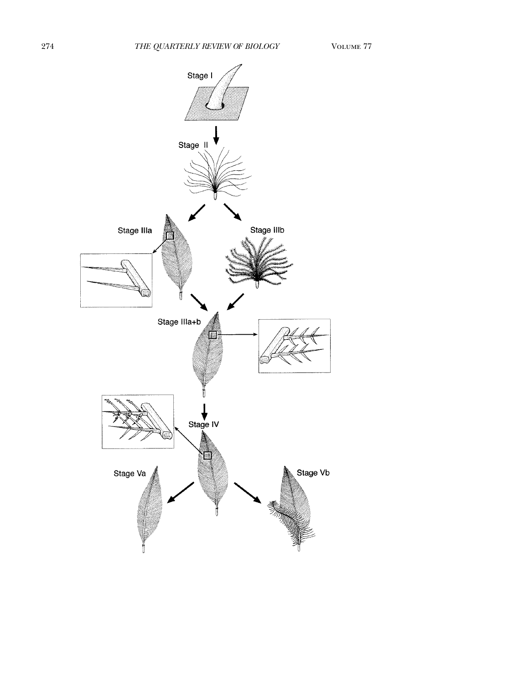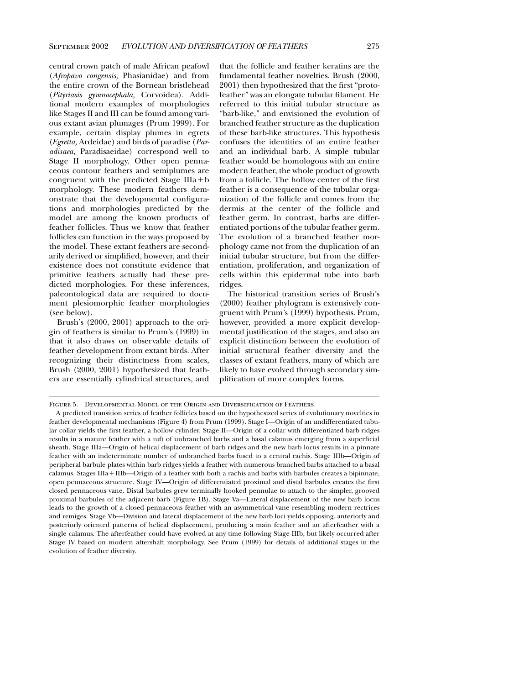central crown patch of male African peafowl (*Afropavo congensis,* Phasianidae) and from the entire crown of the Bornean bristlehead (*Pityriasis gymnocephala,* Corvoidea). Additional modern examples of morphologies like Stages II and III can be found among various extant avian plumages (Prum 1999). For example, certain display plumes in egrets (*Egretta,* Ardeidae) and birds of paradise (*Paradisaea,* Paradisaeidae) correspond well to Stage II morphology. Other open pennaceous contour feathers and semiplumes are congruent with the predicted Stage IIIa-b morphology. These modern feathers demonstrate that the developmental configurations and morphologies predicted by the model are among the known products of feather follicles. Thus we know that feather follicles can function in the ways proposed by the model. These extant feathers are secondarily derived or simplified, however, and their existence does not constitute evidence that primitive feathers actually had these predicted morphologies. For these inferences, paleontological data are required to document plesiomorphic feather morphologies (see below).

Brush's (2000, 2001) approach to the origin of feathers is similar to Prum's (1999) in that it also draws on observable details of feather development from extant birds. After recognizing their distinctness from scales, Brush (2000, 2001) hypothesized that feathers are essentially cylindrical structures, and that the follicle and feather keratins are the fundamental feather novelties. Brush (2000, 2001) then hypothesized that the first "protofeather" was an elongate tubular filament. He referred to this initial tubular structure as "barb-like," and envisioned the evolution of branched feather structure as the duplication of these barb-like structures. This hypothesis confuses the identities of an entire feather and an individual barb. A simple tubular feather would be homologous with an entire modern feather, the whole product of growth from a follicle. The hollow center of the first feather is a consequence of the tubular organization of the follicle and comes from the dermis at the center of the follicle and feather germ. In contrast, barbs are differentiated portions of the tubular feather germ. The evolution of a branched feather morphology came not from the duplication of an initial tubular structure, but from the differentiation, proliferation, and organization of cells within this epidermal tube into barb ridges.

The historical transition series of Brush's (2000) feather phylogram is extensively congruent with Prum's (1999) hypothesis. Prum, however, provided a more explicit developmental justification of the stages, and also an explicit distinction between the evolution of initial structural feather diversity and the classes of extant feathers, many of which are likely to have evolved through secondary simplification of more complex forms.

Figure 5. Developmental Model of the Origin and Diversification of Feathers

A predicted transition series of feather follicles based on the hypothesized series of evolutionary novelties in feather developmental mechanisms (Figure 4) from Prum (1999). Stage I—Origin of an undifferentiated tubular collar yields the first feather, a hollow cylinder. Stage II—Origin of a collar with differentiated barb ridges results in a mature feather with a tuft of unbranched barbs and a basal calamus emerging from a superficial sheath. Stage IIIa—Origin of helical displacement of barb ridges and the new barb locus results in a pinnate feather with an indeterminate number of unbranched barbs fused to a central rachis. Stage IIIb—Origin of peripheral barbule plates within barb ridges yields a feather with numerous branched barbs attached to a basal calamus. Stages IIIa-IIIb—Origin of a feather with both a rachis and barbs with barbules creates a bipinnate, open pennaceous structure. Stage IV—Origin of differentiated proximal and distal barbules creates the first closed pennaceous vane. Distal barbules grew terminally hooked pennulae to attach to the simpler, grooved proximal barbules of the adjacent barb (Figure 1B). Stage Va—Lateral displacement of the new barb locus leads to the growth of a closed pennaceous feather with an asymmetrical vane resembling modern rectrices and remiges. Stage Vb—Division and lateral displacement of the new barb loci yields opposing, anteriorly and posteriorly oriented patterns of helical displacement, producing a main feather and an afterfeather with a single calamus. The afterfeather could have evolved at any time following Stage IIIb, but likely occurred after Stage IV based on modern aftershaft morphology. See Prum (1999) for details of additional stages in the evolution of feather diversity.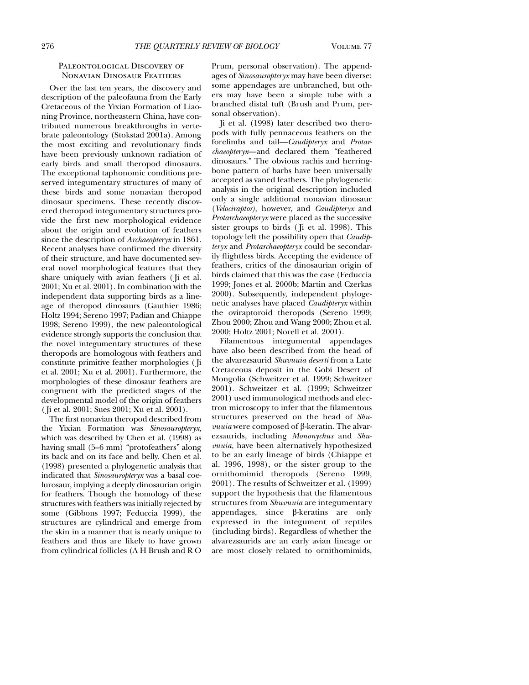## Paleontological Discovery of Nonavian Dinosaur Feathers

Over the last ten years, the discovery and description of the paleofauna from the Early Cretaceous of the Yixian Formation of Liaoning Province, northeastern China, have contributed numerous breakthroughs in vertebrate paleontology (Stokstad 2001a). Among the most exciting and revolutionary finds have been previously unknown radiation of early birds and small theropod dinosaurs. The exceptional taphonomic conditions preserved integumentary structures of many of these birds and some nonavian theropod dinosaur specimens. These recently discovered theropod integumentary structures provide the first new morphological evidence about the origin and evolution of feathers since the description of *Archaeopteryx* in 1861. Recent analyses have confirmed the diversity of their structure, and have documented several novel morphological features that they share uniquely with avian feathers ( Ji et al. 2001; Xu et al. 2001). In combination with the independent data supporting birds as a lineage of theropod dinosaurs (Gauthier 1986; Holtz 1994; Sereno 1997; Padian and Chiappe 1998; Sereno 1999), the new paleontological evidence strongly supports the conclusion that the novel integumentary structures of these theropods are homologous with feathers and constitute primitive feather morphologies ( Ji et al. 2001; Xu et al. 2001). Furthermore, the morphologies of these dinosaur feathers are congruent with the predicted stages of the developmental model of the origin of feathers ( Ji et al. 2001; Sues 2001; Xu et al. 2001).

The first nonavian theropod described from the Yixian Formation was *Sinosauropteryx,* which was described by Chen et al. (1998) as having small (5–6 mm) "protofeathers" along its back and on its face and belly. Chen et al. (1998) presented a phylogenetic analysis that indicated that *Sinosauropteryx* was a basal coelurosaur, implying a deeply dinosaurian origin for feathers. Though the homology of these structures with feathers was initially rejected by some (Gibbons 1997; Feduccia 1999), the structures are cylindrical and emerge from the skin in a manner that is nearly unique to feathers and thus are likely to have grown from cylindrical follicles (A H Brush and R O

Prum, personal observation). The appendages of *Sinosauropteryx* may have been diverse: some appendages are unbranched, but others may have been a simple tube with a branched distal tuft (Brush and Prum, personal observation).

Ji et al. (1998) later described two theropods with fully pennaceous feathers on the forelimbs and tail—*Caudipteryx* and *Protarchaeopteryx*—and declared them "feathered dinosaurs." The obvious rachis and herringbone pattern of barbs have been universally accepted as vaned feathers. The phylogenetic analysis in the original description included only a single additional nonavian dinosaur (*Velociraptor),* however, and *Caudipteryx* and *Protarchaeopteryx* were placed as the successive sister groups to birds ( Ji et al. 1998). This topology left the possibility open that *Caudipteryx* and *Protarchaeopteryx* could be secondarily flightless birds. Accepting the evidence of feathers, critics of the dinosaurian origin of birds claimed that this was the case (Feduccia 1999; Jones et al. 2000b; Martin and Czerkas 2000). Subsequently, independent phylogenetic analyses have placed *Caudipteryx* within the oviraptoroid theropods (Sereno 1999; Zhou 2000; Zhou and Wang 2000; Zhou et al. 2000; Holtz 2001; Norell et al. 2001).

Filamentous integumental appendages have also been described from the head of the alvarezsaurid *Shuvuuia deserti* from a Late Cretaceous deposit in the Gobi Desert of Mongolia (Schweitzer et al. 1999; Schweitzer 2001). Schweitzer et al. (1999; Schweitzer 2001) used immunological methods and electron microscopy to infer that the filamentous structures preserved on the head of *Shu* $vuuia$  were composed of  $\beta$ -keratin. The alvarezsaurids, including *Mononychus* and *Shuvuuia,* have been alternatively hypothesized to be an early lineage of birds (Chiappe et al. 1996, 1998), or the sister group to the ornithomimid theropods (Sereno 1999, 2001). The results of Schweitzer et al. (1999) support the hypothesis that the filamentous structures from *Shuvuuia* are integumentary appendages, since b-keratins are only expressed in the integument of reptiles (including birds). Regardless of whether the alvarezsaurids are an early avian lineage or are most closely related to ornithomimids,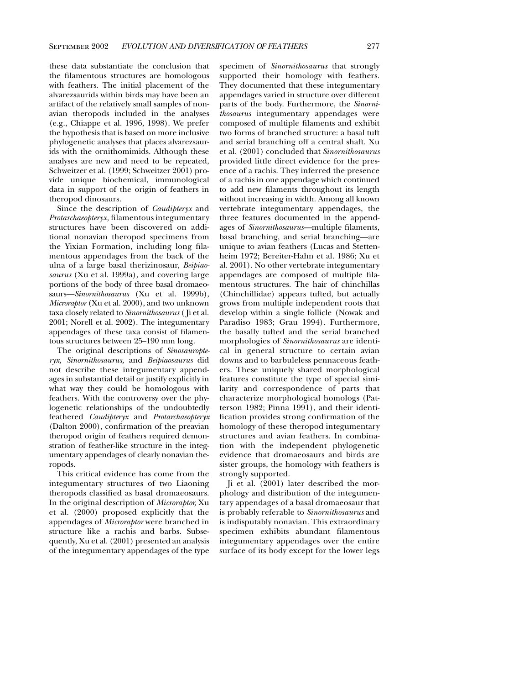these data substantiate the conclusion that the filamentous structures are homologous with feathers. The initial placement of the alvarezsaurids within birds may have been an artifact of the relatively small samples of nonavian theropods included in the analyses (e.g., Chiappe et al. 1996, 1998). We prefer the hypothesis that is based on more inclusive phylogenetic analyses that places alvarezsaurids with the ornithomimids. Although these analyses are new and need to be repeated, Schweitzer et al. (1999; Schweitzer 2001) provide unique biochemical, immunological data in support of the origin of feathers in theropod dinosaurs.

Since the description of *Caudipteryx* and *Protarchaeopteryx,* filamentous integumentary structures have been discovered on additional nonavian theropod specimens from the Yixian Formation, including long filamentous appendages from the back of the ulna of a large basal therizinosaur, *Beipiaosaurus* (Xu et al. 1999a)*,* and covering large portions of the body of three basal dromaeosaurs—*Sinornithosaurus* (Xu et al. 1999b), *Microraptor* (Xu et al. 2000), and two unknown taxa closely related to *Sinornithosaurus* ( Ji et al. 2001; Norell et al. 2002). The integumentary appendages of these taxa consist of filamentous structures between 25–190 mm long.

The original descriptions of *Sinosauropteryx, Sinornithosaurus,* and *Beipiaosaurus* did not describe these integumentary appendages in substantial detail or justify explicitly in what way they could be homologous with feathers. With the controversy over the phylogenetic relationships of the undoubtedly feathered *Caudipteryx* and *Protarchaeopteryx* (Dalton 2000), confirmation of the preavian theropod origin of feathers required demonstration of feather-like structure in the integumentary appendages of clearly nonavian theropods.

This critical evidence has come from the integumentary structures of two Liaoning theropods classified as basal dromaeosaurs. In the original description of *Microraptor,* Xu et al. (2000) proposed explicitly that the appendages of *Microraptor* were branched in structure like a rachis and barbs. Subsequently, Xu et al. (2001) presented an analysis of the integumentary appendages of the type specimen of *Sinornithosaurus* that strongly supported their homology with feathers. They documented that these integumentary appendages varied in structure over different parts of the body. Furthermore, the *Sinornithosaurus* integumentary appendages were composed of multiple filaments and exhibit two forms of branched structure: a basal tuft and serial branching off a central shaft. Xu et al. (2001) concluded that *Sinornithosaurus* provided little direct evidence for the presence of a rachis. They inferred the presence of a rachis in one appendage which continued to add new filaments throughout its length without increasing in width. Among all known vertebrate integumentary appendages, the three features documented in the appendages of *Sinornithosaurus*—multiple filaments, basal branching, and serial branching—are unique to avian feathers (Lucas and Stettenheim 1972; Bereiter-Hahn et al. 1986; Xu et al. 2001). No other vertebrate integumentary appendages are composed of multiple filamentous structures. The hair of chinchillas (Chinchillidae) appears tufted, but actually grows from multiple independent roots that develop within a single follicle (Nowak and Paradiso 1983; Grau 1994). Furthermore, the basally tufted and the serial branched morphologies of *Sinornithosaurus* are identical in general structure to certain avian downs and to barbuleless pennaceous feathers. These uniquely shared morphological features constitute the type of special similarity and correspondence of parts that characterize morphological homologs (Patterson 1982; Pinna 1991), and their identification provides strong confirmation of the homology of these theropod integumentary structures and avian feathers. In combination with the independent phylogenetic evidence that dromaeosaurs and birds are sister groups, the homology with feathers is strongly supported.

Ji et al. (2001) later described the morphology and distribution of the integumentary appendages of a basal dromaeosaur that is probably referable to *Sinornithosaurus* and is indisputably nonavian. This extraordinary specimen exhibits abundant filamentous integumentary appendages over the entire surface of its body except for the lower legs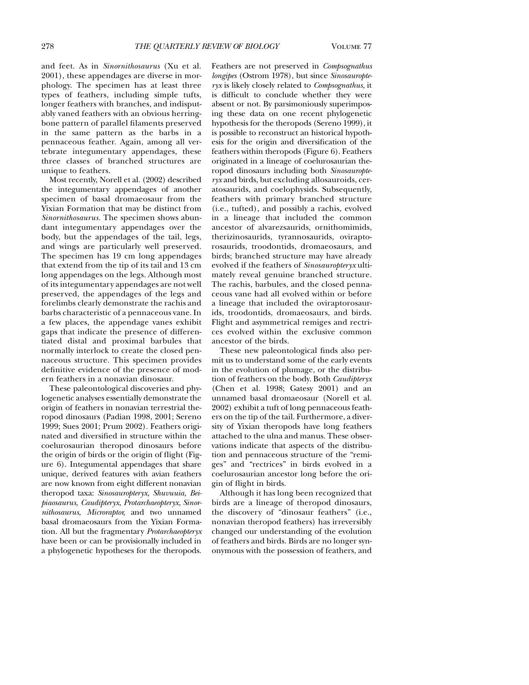and feet. As in *Sinornithosaurus* (Xu et al. 2001), these appendages are diverse in morphology. The specimen has at least three types of feathers, including simple tufts, longer feathers with branches, and indisputably vaned feathers with an obvious herringbone pattern of parallel filaments preserved in the same pattern as the barbs in a pennaceous feather. Again, among all vertebrate integumentary appendages, these three classes of branched structures are unique to feathers.

Most recently, Norell et al. (2002) described the integumentary appendages of another specimen of basal dromaeosaur from the Yixian Formation that may be distinct from *Sinornithosaurus.* The specimen shows abundant integumentary appendages over the body, but the appendages of the tail, legs, and wings are particularly well preserved. The specimen has 19 cm long appendages that extend from the tip of its tail and 13 cm long appendages on the legs. Although most of its integumentary appendages are not well preserved, the appendages of the legs and forelimbs clearly demonstrate the rachis and barbs characteristic of a pennaceous vane. In a few places, the appendage vanes exhibit gaps that indicate the presence of differentiated distal and proximal barbules that normally interlock to create the closed pennaceous structure. This specimen provides definitive evidence of the presence of modern feathers in a nonavian dinosaur.

These paleontological discoveries and phylogenetic analyses essentially demonstrate the origin of feathers in nonavian terrestrial theropod dinosaurs (Padian 1998, 2001; Sereno 1999; Sues 2001; Prum 2002). Feathers originated and diversified in structure within the coelurosaurian theropod dinosaurs before the origin of birds or the origin of flight (Figure 6). Integumental appendages that share unique, derived features with avian feathers are now known from eight different nonavian theropod taxa: *Sinosauropteryx, Shuvuuia, Beipiaosaurus, Caudipteryx, Protarchaeopteryx, Sinornithosaurus, Microraptor,* and two unnamed basal dromaeosaurs from the Yixian Formation. All but the fragmentary *Protarchaeopteryx* have been or can be provisionally included in a phylogenetic hypotheses for the theropods.

Feathers are not preserved in *Compsognathus longipes* (Ostrom 1978), but since *Sinosauropteryx* is likely closely related to *Compsognathus,* it is difficult to conclude whether they were absent or not. By parsimoniously superimposing these data on one recent phylogenetic hypothesis for the theropods (Sereno 1999), it is possible to reconstruct an historical hypothesis for the origin and diversification of the feathers within theropods (Figure 6). Feathers originated in a lineage of coelurosaurian theropod dinosaurs including both *Sinosauropteryx* and birds, but excluding allosauroids, ceratosaurids, and coelophysids. Subsequently, feathers with primary branched structure (i.e., tufted), and possibly a rachis, evolved in a lineage that included the common ancestor of alvarezsaurids, ornithomimids, therizinosaurids, tyrannosaurids, oviraptorosaurids, troodontids, dromaeosaurs, and birds; branched structure may have already evolved if the feathers of *Sinosauropteryx* ultimately reveal genuine branched structure. The rachis, barbules, and the closed pennaceous vane had all evolved within or before a lineage that included the oviraptorosaurids, troodontids, dromaeosaurs, and birds. Flight and asymmetrical remiges and rectrices evolved within the exclusive common ancestor of the birds.

These new paleontological finds also permit us to understand some of the early events in the evolution of plumage, or the distribution of feathers on the body. Both *Caudipteryx* (Chen et al. 1998; Gatesy 2001) and an unnamed basal dromaeosaur (Norell et al. 2002) exhibit a tuft of long pennaceous feathers on the tip of the tail. Furthermore, a diversity of Yixian theropods have long feathers attached to the ulna and manus. These observations indicate that aspects of the distribution and pennaceous structure of the "remiges" and "rectrices" in birds evolved in a coelurosaurian ancestor long before the origin of flight in birds.

Although it has long been recognized that birds are a lineage of theropod dinosaurs, the discovery of "dinosaur feathers" (i.e., nonavian theropod feathers) has irreversibly changed our understanding of the evolution of feathers and birds. Birds are no longer synonymous with the possession of feathers, and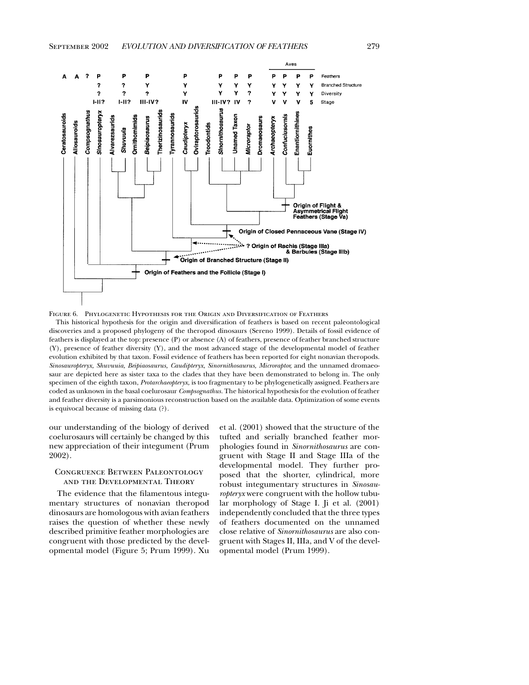

Figure 6. Phylogenetic Hypothesis for the Origin and Diversification of Feathers

This historical hypothesis for the origin and diversification of feathers is based on recent paleontological discoveries and a proposed phylogeny of the theropod dinosaurs (Sereno 1999). Details of fossil evidence of feathers is displayed at the top: presence (P) or absence (A) of feathers, presence of feather branched structure (Y ), presence of feather diversity (Y ), and the most advanced stage of the developmental model of feather evolution exhibited by that taxon. Fossil evidence of feathers has been reported for eight nonavian theropods. *Sinosauropteryx, Shuvuuia, Beipiaosaurus, Caudipteryx, Sinornithosaurus, Microraptor,* and the unnamed dromaeosaur are depicted here as sister taxa to the clades that they have been demonstrated to belong in. The only specimen of the eighth taxon, *Protarchaeopteryx,* is too fragmentary to be phylogenetically assigned. Feathers are coded as unknown in the basal coelurosaur *Compsognathus.* The historical hypothesis for the evolution of feather and feather diversity is a parsimonious reconstruction based on the available data. Optimization of some events is equivocal because of missing data (?).

our understanding of the biology of derived coelurosaurs will certainly be changed by this new appreciation of their integument (Prum 2002).

## Congruence Between Paleontology and the Developmental Theory

The evidence that the filamentous integumentary structures of nonavian theropod dinosaurs are homologous with avian feathers raises the question of whether these newly described primitive feather morphologies are congruent with those predicted by the developmental model (Figure 5; Prum 1999). Xu et al. (2001) showed that the structure of the tufted and serially branched feather morphologies found in *Sinornithosaurus* are congruent with Stage II and Stage IIIa of the developmental model. They further proposed that the shorter, cylindrical, more robust integumentary structures in *Sinosauropteryx* were congruent with the hollow tubular morphology of Stage I. Ji et al. (2001) independently concluded that the three types of feathers documented on the unnamed close relative of *Sinornithosaurus* are also congruent with Stages II, IIIa, and V of the developmental model (Prum 1999).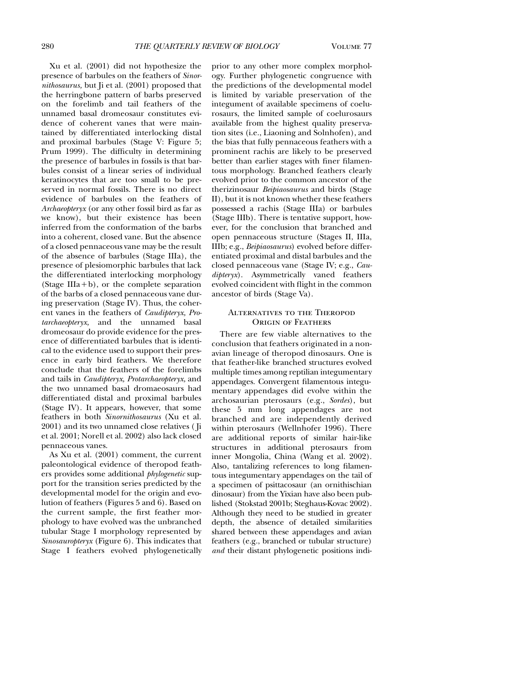Xu et al. (2001) did not hypothesize the presence of barbules on the feathers of *Sinornithosaurus,* but Ji et al. (2001) proposed that the herringbone pattern of barbs preserved on the forelimb and tail feathers of the unnamed basal dromeosaur constitutes evidence of coherent vanes that were maintained by differentiated interlocking distal and proximal barbules (Stage V: Figure 5; Prum 1999). The difficulty in determining the presence of barbules in fossils is that barbules consist of a linear series of individual keratinocytes that are too small to be preserved in normal fossils. There is no direct evidence of barbules on the feathers of *Archaeopteryx* (or any other fossil bird as far as we know), but their existence has been inferred from the conformation of the barbs into a coherent, closed vane. But the absence of a closed pennaceous vane may be the result of the absence of barbules (Stage IIIa), the presence of plesiomorphic barbules that lack the differentiated interlocking morphology (Stage IIIa-b), or the complete separation of the barbs of a closed pennaceous vane during preservation (Stage IV). Thus, the coherent vanes in the feathers of *Caudipteryx, Protarchaeopteryx,* and the unnamed basal dromeosaur do provide evidence for the presence of differentiated barbules that is identical to the evidence used to support their presence in early bird feathers. We therefore conclude that the feathers of the forelimbs and tails in *Caudipteryx, Protarchaeopteryx,* and the two unnamed basal dromaeosaurs had differentiated distal and proximal barbules (Stage IV). It appears, however, that some feathers in both *Sinornithosaurus* (Xu et al. 2001) and its two unnamed close relatives ( Ji et al. 2001; Norell et al. 2002) also lack closed pennaceous vanes.

As Xu et al. (2001) comment, the current paleontological evidence of theropod feathers provides some additional *phylogenetic* support for the transition series predicted by the developmental model for the origin and evolution of feathers (Figures 5 and 6). Based on the current sample, the first feather morphology to have evolved was the unbranched tubular Stage I morphology represented by *Sinosauropteryx* (Figure 6). This indicates that Stage I feathers evolved phylogenetically prior to any other more complex morphology. Further phylogenetic congruence with the predictions of the developmental model is limited by variable preservation of the integument of available specimens of coelurosaurs, the limited sample of coelurosaurs available from the highest quality preservation sites (i.e., Liaoning and Solnhofen), and the bias that fully pennaceous feathers with a prominent rachis are likely to be preserved better than earlier stages with finer filamentous morphology. Branched feathers clearly evolved prior to the common ancestor of the therizinosaur *Beipiaosaurus* and birds (Stage II), but it is not known whether these feathers possessed a rachis (Stage IIIa) or barbules (Stage IIIb). There is tentative support, however, for the conclusion that branched and open pennaceous structure (Stages II, IIIa, IIIb; e.g., *Beipiaosaurus*) evolved before differentiated proximal and distal barbules and the closed pennaceous vane (Stage IV; e.g., *Caudipteryx*). Asymmetrically vaned feathers evolved coincident with flight in the common ancestor of birds (Stage Va).

## Alternatives to the Theropod ORIGIN OF FEATHERS

There are few viable alternatives to the conclusion that feathers originated in a nonavian lineage of theropod dinosaurs. One is that feather-like branched structures evolved multiple times among reptilian integumentary appendages. Convergent filamentous integumentary appendages did evolve within the archosaurian pterosaurs (e.g., *Sordes*), but these 5 mm long appendages are not branched and are independently derived within pterosaurs (Wellnhofer 1996). There are additional reports of similar hair-like structures in additional pterosaurs from inner Mongolia, China (Wang et al. 2002). Also, tantalizing references to long filamentous integumentary appendages on the tail of a specimen of psittacosaur (an ornithischian dinosaur) from the Yixian have also been published (Stokstad 2001b; Steghaus-Kovac 2002). Although they need to be studied in greater depth, the absence of detailed similarities shared between these appendages and avian feathers (e.g., branched or tubular structure) *and* their distant phylogenetic positions indi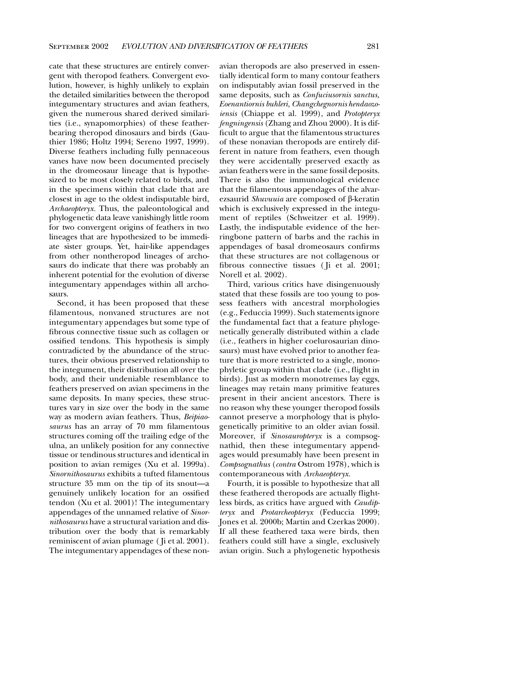cate that these structures are entirely convergent with theropod feathers. Convergent evolution, however, is highly unlikely to explain the detailed similarities between the theropod integumentary structures and avian feathers, given the numerous shared derived similarities (i.e., synapomorphies) of these featherbearing theropod dinosaurs and birds (Gauthier 1986; Holtz 1994; Sereno 1997, 1999). Diverse feathers including fully pennaceous vanes have now been documented precisely in the dromeosaur lineage that is hypothesized to be most closely related to birds, and in the specimens within that clade that are closest in age to the oldest indisputable bird, *Archaeopteryx.* Thus, the paleontological and phylogenetic data leave vanishingly little room for two convergent origins of feathers in two lineages that are hypothesized to be immediate sister groups. Yet, hair-like appendages from other nontheropod lineages of archosaurs do indicate that there was probably an inherent potential for the evolution of diverse integumentary appendages within all archosaurs.

Second, it has been proposed that these filamentous, nonvaned structures are not integumentary appendages but some type of fibrous connective tissue such as collagen or ossified tendons. This hypothesis is simply contradicted by the abundance of the structures, their obvious preserved relationship to the integument, their distribution all over the body, and their undeniable resemblance to feathers preserved on avian specimens in the same deposits. In many species, these structures vary in size over the body in the same way as modern avian feathers. Thus, *Beipiaosaurus* has an array of 70 mm filamentous structures coming off the trailing edge of the ulna, an unlikely position for any connective tissue or tendinous structures and identical in position to avian remiges (Xu et al. 1999a). *Sinornithosaurus* exhibits a tufted filamentous structure 35 mm on the tip of its snout—a genuinely unlikely location for an ossified tendon (Xu et al. 2001)! The integumentary appendages of the unnamed relative of *Sinornithosaurus* have a structural variation and distribution over the body that is remarkably reminiscent of avian plumage ( Ji et al. 2001). The integumentary appendages of these non-

avian theropods are also preserved in essentially identical form to many contour feathers on indisputably avian fossil preserved in the same deposits, such as *Confuciusornis sanctus, Eoenantiornis buhleri, Changchegnornis hendaozoiensis* (Chiappe et al. 1999), and *Protopteryx fengningensis* (Zhang and Zhou 2000). It is difficult to argue that the filamentous structures of these nonavian theropods are entirely different in nature from feathers, even though they were accidentally preserved exactly as avian feathers were in the same fossil deposits. There is also the immunological evidence that the filamentous appendages of the alvarezsaurid *Shuvuuia* are composed of b-keratin which is exclusively expressed in the integument of reptiles (Schweitzer et al. 1999). Lastly, the indisputable evidence of the herringbone pattern of barbs and the rachis in appendages of basal dromeosaurs confirms that these structures are not collagenous or fibrous connective tissues ( Ji et al. 2001; Norell et al. 2002).

Third, various critics have disingenuously stated that these fossils are too young to possess feathers with ancestral morphologies (e.g., Feduccia 1999). Such statements ignore the fundamental fact that a feature phylogenetically generally distributed within a clade (i.e., feathers in higher coelurosaurian dinosaurs) must have evolved prior to another feature that is more restricted to a single, monophyletic group within that clade (i.e., flight in birds). Just as modern monotremes lay eggs, lineages may retain many primitive features present in their ancient ancestors. There is no reason why these younger theropod fossils cannot preserve a morphology that is phylogenetically primitive to an older avian fossil. Moreover, if *Sinosauropteryx* is a compsognathid, then these integumentary appendages would presumably have been present in *Compsognathus* (*contra* Ostrom 1978), which is contemporaneous with *Archaeopteryx.*

Fourth, it is possible to hypothesize that all these feathered theropods are actually flightless birds, as critics have argued with *Caudipteryx* and *Protarcheopteryx* (Feduccia 1999; Jones et al. 2000b; Martin and Czerkas 2000). If all these feathered taxa were birds, then feathers could still have a single, exclusively avian origin. Such a phylogenetic hypothesis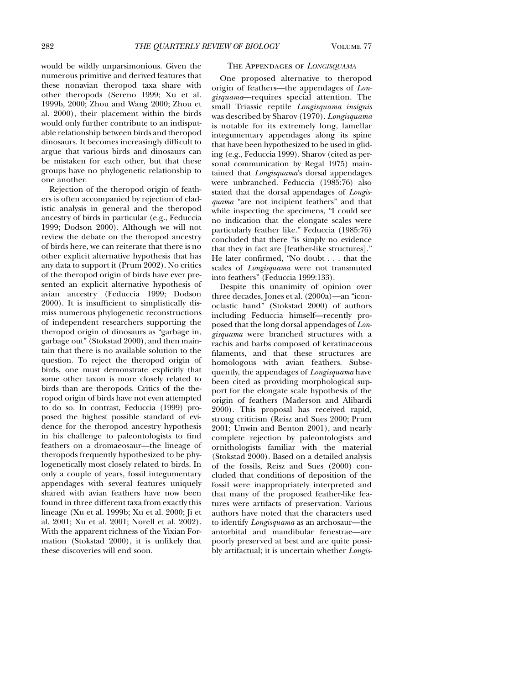would be wildly unparsimonious. Given the numerous primitive and derived features that these nonavian theropod taxa share with other theropods (Sereno 1999; Xu et al. 1999b, 2000; Zhou and Wang 2000; Zhou et al. 2000), their placement within the birds would only further contribute to an indisputable relationship between birds and theropod dinosaurs. It becomes increasingly difficult to argue that various birds and dinosaurs can be mistaken for each other, but that these groups have no phylogenetic relationship to one another.

Rejection of the theropod origin of feathers is often accompanied by rejection of cladistic analysis in general and the theropod ancestry of birds in particular (e.g., Feduccia 1999; Dodson 2000). Although we will not review the debate on the theropod ancestry of birds here, we can reiterate that there is no other explicit alternative hypothesis that has any data to support it (Prum 2002). No critics of the theropod origin of birds have ever presented an explicit alternative hypothesis of avian ancestry (Feduccia 1999; Dodson 2000). It is insufficient to simplistically dismiss numerous phylogenetic reconstructions of independent researchers supporting the theropod origin of dinosaurs as "garbage in, garbage out" (Stokstad 2000), and then maintain that there is no available solution to the question. To reject the theropod origin of birds, one must demonstrate explicitly that some other taxon is more closely related to birds than are theropods. Critics of the theropod origin of birds have not even attempted to do so. In contrast, Feduccia (1999) proposed the highest possible standard of evidence for the theropod ancestry hypothesis in his challenge to paleontologists to find feathers on a dromaeosaur—the lineage of theropods frequently hypothesized to be phylogenetically most closely related to birds. In only a couple of years, fossil integumentary appendages with several features uniquely shared with avian feathers have now been found in three different taxa from exactly this lineage (Xu et al. 1999b; Xu et al. 2000; Ji et al. 2001; Xu et al. 2001; Norell et al. 2002). With the apparent richness of the Yixian Formation (Stokstad 2000), it is unlikely that these discoveries will end soon.

#### The Appendages of *LONGISQUAMA*

One proposed alternative to theropod origin of feathers—the appendages of *Longisquama*—requires special attention. The small Triassic reptile *Longisquama insignis* was described by Sharov (1970). *Longisquama* is notable for its extremely long, lamellar integumentary appendages along its spine that have been hypothesized to be used in gliding (e.g., Feduccia 1999). Sharov (cited as personal communication by Regal 1975) maintained that *Longisquama*'s dorsal appendages were unbranched. Feduccia (1985:76) also stated that the dorsal appendages of *Longisquama* "are not incipient feathers" and that while inspecting the specimens, "I could see no indication that the elongate scales were particularly feather like." Feduccia (1985:76) concluded that there "is simply no evidence that they in fact are [feather-like structures]." He later confirmed, "No doubt . . . that the scales of *Longisquama* were not transmuted into feathers" (Feduccia 1999:133).

Despite this unanimity of opinion over three decades, Jones et al. (2000a)—an "iconoclastic band" (Stokstad 2000) of authors including Feduccia himself—recently proposed that the long dorsal appendages of *Longisquama* were branched structures with a rachis and barbs composed of keratinaceous filaments, and that these structures are homologous with avian feathers. Subsequently, the appendages of *Longisquama* have been cited as providing morphological support for the elongate scale hypothesis of the origin of feathers (Maderson and Alibardi 2000). This proposal has received rapid, strong criticism (Reisz and Sues 2000; Prum 2001; Unwin and Benton 2001), and nearly complete rejection by paleontologists and ornithologists familiar with the material (Stokstad 2000). Based on a detailed analysis of the fossils, Reisz and Sues (2000) concluded that conditions of deposition of the fossil were inappropriately interpreted and that many of the proposed feather-like features were artifacts of preservation. Various authors have noted that the characters used to identify *Longisquama* as an archosaur—the antorbital and mandibular fenestrae—are poorly preserved at best and are quite possibly artifactual; it is uncertain whether *Longis-*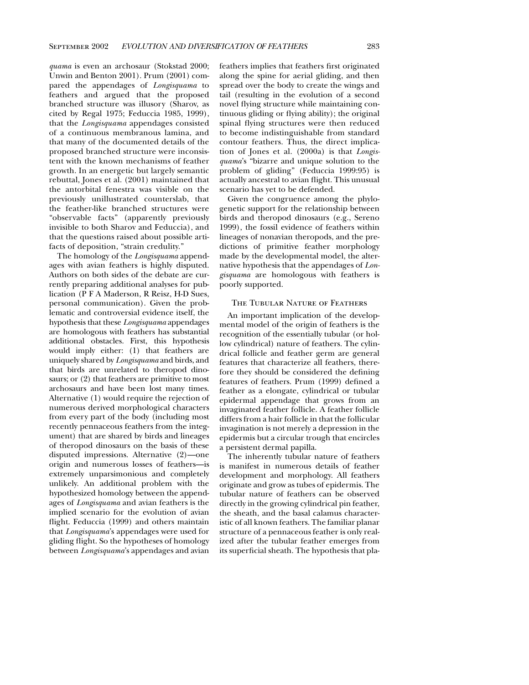*quama* is even an archosaur (Stokstad 2000; Unwin and Benton 2001). Prum (2001) compared the appendages of *Longisquama* to feathers and argued that the proposed branched structure was illusory (Sharov, as cited by Regal 1975; Feduccia 1985, 1999), that the *Longisquama* appendages consisted of a continuous membranous lamina, and that many of the documented details of the proposed branched structure were inconsistent with the known mechanisms of feather growth. In an energetic but largely semantic rebuttal, Jones et al. (2001) maintained that the antorbital fenestra was visible on the previously unillustrated counterslab, that the feather-like branched structures were "observable facts" (apparently previously invisible to both Sharov and Feduccia), and that the questions raised about possible artifacts of deposition, "strain credulity."

The homology of the *Longisquama* appendages with avian feathers is highly disputed. Authors on both sides of the debate are currently preparing additional analyses for publication (P F A Maderson, R Reisz, H-D Sues, personal communication). Given the problematic and controversial evidence itself, the hypothesis that these *Longisquama* appendages are homologous with feathers has substantial additional obstacles. First, this hypothesis would imply either: (1) that feathers are uniquely shared by *Longisquama* and birds, and that birds are unrelated to theropod dinosaurs; or (2) that feathers are primitive to most archosaurs and have been lost many times. Alternative (1) would require the rejection of numerous derived morphological characters from every part of the body (including most recently pennaceous feathers from the integument) that are shared by birds and lineages of theropod dinosaurs on the basis of these disputed impressions. Alternative (2)—one origin and numerous losses of feathers—is extremely unparsimonious and completely unlikely. An additional problem with the hypothesized homology between the appendages of *Longisquama* and avian feathers is the implied scenario for the evolution of avian flight. Feduccia (1999) and others maintain that *Longisquama*'s appendages were used for gliding flight. So the hypotheses of homology between *Longisquama*'s appendages and avian feathers implies that feathers first originated along the spine for aerial gliding, and then spread over the body to create the wings and tail (resulting in the evolution of a second novel flying structure while maintaining continuous gliding or flying ability); the original spinal flying structures were then reduced to become indistinguishable from standard contour feathers. Thus, the direct implication of Jones et al. (2000a) is that *Longisquama*'s "bizarre and unique solution to the problem of gliding" (Feduccia 1999:95) is actually ancestral to avian flight. This unusual scenario has yet to be defended.

Given the congruence among the phylogenetic support for the relationship between birds and theropod dinosaurs (e.g., Sereno 1999), the fossil evidence of feathers within lineages of nonavian theropods, and the predictions of primitive feather morphology made by the developmental model, the alternative hypothesis that the appendages of *Longisquama* are homologous with feathers is poorly supported.

## The Tubular Nature of Feathers

An important implication of the developmental model of the origin of feathers is the recognition of the essentially tubular (or hollow cylindrical) nature of feathers. The cylindrical follicle and feather germ are general features that characterize all feathers, therefore they should be considered the defining features of feathers. Prum (1999) defined a feather as a elongate, cylindrical or tubular epidermal appendage that grows from an invaginated feather follicle. A feather follicle differs from a hair follicle in that the follicular invagination is not merely a depression in the epidermis but a circular trough that encircles a persistent dermal papilla.

The inherently tubular nature of feathers is manifest in numerous details of feather development and morphology. All feathers originate and grow as tubes of epidermis. The tubular nature of feathers can be observed directly in the growing cylindrical pin feather, the sheath, and the basal calamus characteristic of all known feathers. The familiar planar structure of a pennaceous feather is only realized after the tubular feather emerges from its superficial sheath. The hypothesis that pla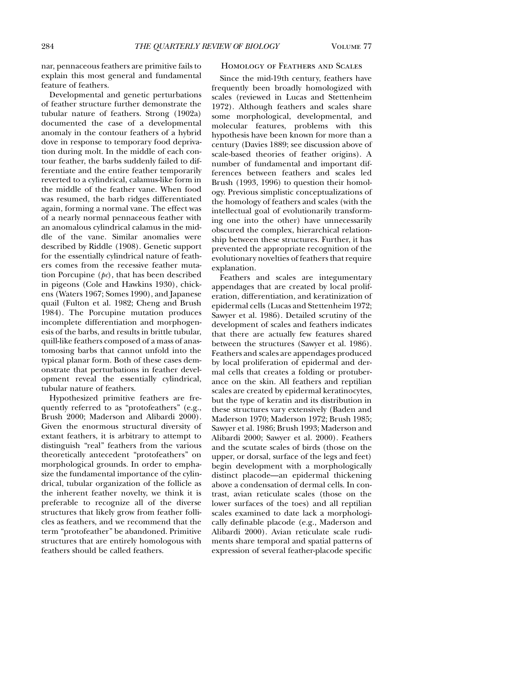nar, pennaceous feathers are primitive fails to explain this most general and fundamental feature of feathers.

Developmental and genetic perturbations of feather structure further demonstrate the tubular nature of feathers. Strong (1902a) documented the case of a developmental anomaly in the contour feathers of a hybrid dove in response to temporary food deprivation during molt. In the middle of each contour feather, the barbs suddenly failed to differentiate and the entire feather temporarily reverted to a cylindrical, calamus-like form in the middle of the feather vane. When food was resumed, the barb ridges differentiated again, forming a normal vane. The effect was of a nearly normal pennaceous feather with an anomalous cylindrical calamus in the middle of the vane. Similar anomalies were described by Riddle (1908). Genetic support for the essentially cylindrical nature of feathers comes from the recessive feather mutation Porcupine (*pc*), that has been described in pigeons (Cole and Hawkins 1930), chickens (Waters 1967; Somes 1990), and Japanese quail (Fulton et al. 1982; Cheng and Brush 1984). The Porcupine mutation produces incomplete differentiation and morphogenesis of the barbs, and results in brittle tubular, quill-like feathers composed of a mass of anastomosing barbs that cannot unfold into the typical planar form. Both of these cases demonstrate that perturbations in feather development reveal the essentially cylindrical, tubular nature of feathers.

Hypothesized primitive feathers are frequently referred to as "protofeathers" (e.g., Brush 2000; Maderson and Alibardi 2000). Given the enormous structural diversity of extant feathers, it is arbitrary to attempt to distinguish "real" feathers from the various theoretically antecedent "protofeathers" on morphological grounds. In order to emphasize the fundamental importance of the cylindrical, tubular organization of the follicle as the inherent feather novelty, we think it is preferable to recognize all of the diverse structures that likely grow from feather follicles as feathers, and we recommend that the term "protofeather" be abandoned. Primitive structures that are entirely homologous with feathers should be called feathers.

#### Homology of Feathers and Scales

Since the mid-19th century, feathers have frequently been broadly homologized with scales (reviewed in Lucas and Stettenheim 1972). Although feathers and scales share some morphological, developmental, and molecular features, problems with this hypothesis have been known for more than a century (Davies 1889; see discussion above of scale-based theories of feather origins). A number of fundamental and important differences between feathers and scales led Brush (1993, 1996) to question their homology. Previous simplistic conceptualizations of the homology of feathers and scales (with the intellectual goal of evolutionarily transforming one into the other) have unnecessarily obscured the complex, hierarchical relationship between these structures. Further, it has prevented the appropriate recognition of the evolutionary novelties of feathers that require explanation.

Feathers and scales are integumentary appendages that are created by local proliferation, differentiation, and keratinization of epidermal cells (Lucas and Stettenheim 1972; Sawyer et al. 1986). Detailed scrutiny of the development of scales and feathers indicates that there are actually few features shared between the structures (Sawyer et al. 1986). Feathers and scales are appendages produced by local proliferation of epidermal and dermal cells that creates a folding or protuberance on the skin. All feathers and reptilian scales are created by epidermal keratinocytes, but the type of keratin and its distribution in these structures vary extensively (Baden and Maderson 1970; Maderson 1972; Brush 1985; Sawyer et al. 1986; Brush 1993; Maderson and Alibardi 2000; Sawyer et al. 2000). Feathers and the scutate scales of birds (those on the upper, or dorsal, surface of the legs and feet) begin development with a morphologically distinct placode—an epidermal thickening above a condensation of dermal cells. In contrast, avian reticulate scales (those on the lower surfaces of the toes) and all reptilian scales examined to date lack a morphologically definable placode (e.g., Maderson and Alibardi 2000). Avian reticulate scale rudiments share temporal and spatial patterns of expression of several feather-placode specific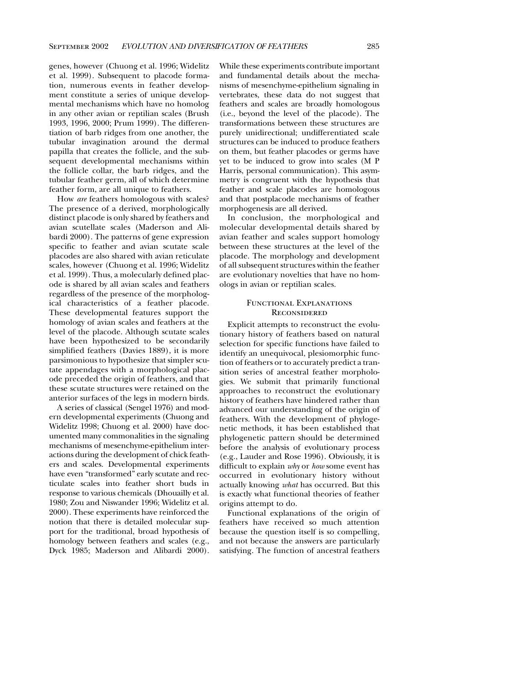genes, however (Chuong et al. 1996; Widelitz et al. 1999). Subsequent to placode formation, numerous events in feather development constitute a series of unique developmental mechanisms which have no homolog in any other avian or reptilian scales (Brush 1993, 1996, 2000; Prum 1999). The differentiation of barb ridges from one another, the tubular invagination around the dermal papilla that creates the follicle, and the subsequent developmental mechanisms within the follicle collar, the barb ridges, and the tubular feather germ, all of which determine feather form, are all unique to feathers.

How *are* feathers homologous with scales? The presence of a derived, morphologically distinct placode is only shared by feathers and avian scutellate scales (Maderson and Alibardi 2000). The patterns of gene expression specific to feather and avian scutate scale placodes are also shared with avian reticulate scales, however (Chuong et al. 1996; Widelitz et al. 1999). Thus, a molecularly defined placode is shared by all avian scales and feathers regardless of the presence of the morphological characteristics of a feather placode. These developmental features support the homology of avian scales and feathers at the level of the placode. Although scutate scales have been hypothesized to be secondarily simplified feathers (Davies 1889), it is more parsimonious to hypothesize that simpler scutate appendages with a morphological placode preceded the origin of feathers, and that these scutate structures were retained on the anterior surfaces of the legs in modern birds.

A series of classical (Sengel 1976) and modern developmental experiments (Chuong and Widelitz 1998; Chuong et al. 2000) have documented many commonalities in the signaling mechanisms of mesenchyme-epithelium interactions during the development of chick feathers and scales. Developmental experiments have even "transformed" early scutate and recticulate scales into feather short buds in response to various chemicals (Dhouailly et al. 1980; Zou and Niswander 1996; Widelitz et al. 2000). These experiments have reinforced the notion that there is detailed molecular support for the traditional, broad hypothesis of homology between feathers and scales (e.g., Dyck 1985; Maderson and Alibardi 2000). While these experiments contribute important and fundamental details about the mechanisms of mesenchyme-epithelium signaling in vertebrates, these data do not suggest that feathers and scales are broadly homologous (i.e., beyond the level of the placode). The transformations between these structures are purely unidirectional; undifferentiated scale structures can be induced to produce feathers on them, but feather placodes or germs have yet to be induced to grow into scales (M P Harris, personal communication). This asymmetry is congruent with the hypothesis that feather and scale placodes are homologous and that postplacode mechanisms of feather morphogenesis are all derived.

In conclusion, the morphological and molecular developmental details shared by avian feather and scales support homology between these structures at the level of the placode. The morphology and development of all subsequent structures within the feather are evolutionary novelties that have no homologs in avian or reptilian scales.

## Functional Explanations **RECONSIDERED**

Explicit attempts to reconstruct the evolutionary history of feathers based on natural selection for specific functions have failed to identify an unequivocal, plesiomorphic function of feathers or to accurately predict a transition series of ancestral feather morphologies. We submit that primarily functional approaches to reconstruct the evolutionary history of feathers have hindered rather than advanced our understanding of the origin of feathers. With the development of phylogenetic methods, it has been established that phylogenetic pattern should be determined before the analysis of evolutionary process (e.g., Lauder and Rose 1996). Obviously, it is difficult to explain *why* or *how* some event has occurred in evolutionary history without actually knowing *what* has occurred. But this is exactly what functional theories of feather origins attempt to do.

Functional explanations of the origin of feathers have received so much attention because the question itself is so compelling, and not because the answers are particularly satisfying. The function of ancestral feathers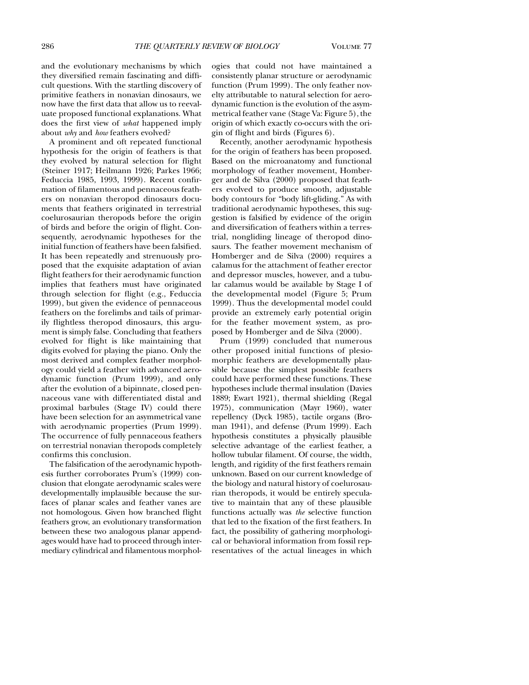and the evolutionary mechanisms by which they diversified remain fascinating and difficult questions. With the startling discovery of primitive feathers in nonavian dinosaurs, we now have the first data that allow us to reevaluate proposed functional explanations. What does the first view of *what* happened imply about *why* and *how* feathers evolved?

A prominent and oft repeated functional hypothesis for the origin of feathers is that they evolved by natural selection for flight (Steiner 1917; Heilmann 1926; Parkes 1966; Feduccia 1985, 1993, 1999). Recent confirmation of filamentous and pennaceous feathers on nonavian theropod dinosaurs documents that feathers originated in terrestrial coelurosaurian theropods before the origin of birds and before the origin of flight. Consequently, aerodynamic hypotheses for the initial function of feathers have been falsified. It has been repeatedly and strenuously proposed that the exquisite adaptation of avian flight feathers for their aerodynamic function implies that feathers must have originated through selection for flight (e.g., Feduccia 1999), but given the evidence of pennaceous feathers on the forelimbs and tails of primarily flightless theropod dinosaurs, this argument is simply false. Concluding that feathers evolved for flight is like maintaining that digits evolved for playing the piano. Only the most derived and complex feather morphology could yield a feather with advanced aerodynamic function (Prum 1999), and only after the evolution of a bipinnate, closed pennaceous vane with differentiated distal and proximal barbules (Stage IV) could there have been selection for an asymmetrical vane with aerodynamic properties (Prum 1999). The occurrence of fully pennaceous feathers on terrestrial nonavian theropods completely confirms this conclusion.

The falsification of the aerodynamic hypothesis further corroborates Prum's (1999) conclusion that elongate aerodynamic scales were developmentally implausible because the surfaces of planar scales and feather vanes are not homologous. Given how branched flight feathers grow, an evolutionary transformation between these two analogous planar appendages would have had to proceed through intermediary cylindrical and filamentous morphologies that could not have maintained a consistently planar structure or aerodynamic function (Prum 1999). The only feather novelty attributable to natural selection for aerodynamic function is the evolution of the asymmetrical feather vane (Stage Va: Figure 5), the origin of which exactly co-occurs with the origin of flight and birds (Figures 6).

Recently, another aerodynamic hypothesis for the origin of feathers has been proposed. Based on the microanatomy and functional morphology of feather movement, Homberger and de Silva (2000) proposed that feathers evolved to produce smooth, adjustable body contours for "body lift-gliding." As with traditional aerodynamic hypotheses, this suggestion is falsified by evidence of the origin and diversification of feathers within a terrestrial, nongliding lineage of theropod dinosaurs. The feather movement mechanism of Homberger and de Silva (2000) requires a calamus for the attachment of feather erector and depressor muscles, however, and a tubular calamus would be available by Stage I of the developmental model (Figure 5; Prum 1999). Thus the developmental model could provide an extremely early potential origin for the feather movement system, as proposed by Homberger and de Silva (2000).

Prum (1999) concluded that numerous other proposed initial functions of plesiomorphic feathers are developmentally plausible because the simplest possible feathers could have performed these functions. These hypotheses include thermal insulation (Davies 1889; Ewart 1921), thermal shielding (Regal 1975), communication (Mayr 1960), water repellency (Dyck 1985), tactile organs (Broman 1941), and defense (Prum 1999). Each hypothesis constitutes a physically plausible selective advantage of the earliest feather, a hollow tubular filament. Of course, the width, length, and rigidity of the first feathers remain unknown. Based on our current knowledge of the biology and natural history of coelurosaurian theropods, it would be entirely speculative to maintain that any of these plausible functions actually was *the* selective function that led to the fixation of the first feathers. In fact, the possibility of gathering morphological or behavioral information from fossil representatives of the actual lineages in which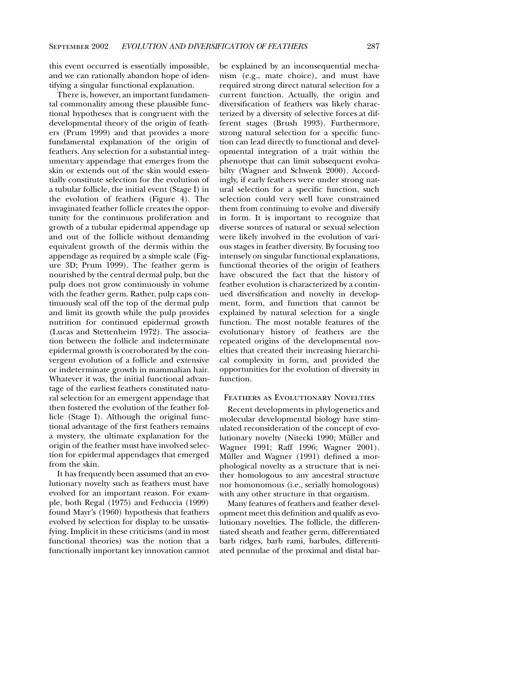this event occurred is essentially impossible, and we can rationally abandon hope of identifying a singular functional explanation.

There is, however, an important fundamental commonality among these plausible functional hypotheses that is congruent with the developmental theory of the origin of feathers (Prum 1999) and that provides a more fundamental explanation of the origin of feathers. Any selection for a substantial integumentary appendage that emerges from the skin or extends out of the skin would essentially constitute selection for the evolution of a tubular follicle, the initial event (Stage I) in the evolution of feathers (Figure 4). The invaginated feather follicle creates the opportunity for the continuous proliferation and growth of a tubular epidermal appendage up and out of the follicle without demanding equivalent growth of the dermis within the appendage as required by a simple scale (Figure 3D; Prum 1999). The feather germ is nourished by the central dermal pulp, but the pulp does not grow continuously in volume with the feather germ. Rather, pulp caps continuously seal off the top of the dermal pulp and limit its growth while the pulp provides nutrition for continued epidermal growth (Lucas and Stettenheim 1972). The association between the follicle and indeterminate epidermal growth is corroborated by the convergent evolution of a follicle and extensive or indeterminate growth in mammalian hair. Whatever it was, the initial functional advantage of the earliest feathers constituted natural selection for an emergent appendage that then fostered the evolution of the feather follicle (Stage I). Although the original functional advantage of the first feathers remains a mystery, the ultimate explanation for the origin of the feather must have involved selection for epidermal appendages that emerged from the skin.

It has frequently been assumed that an evolutionary novelty such as feathers must have evolved for an important reason. For example, both Regal (1975) and Feduccia (1999) found Mayr's (1960) hypothesis that feathers evolved by selection for display to be unsatisfying. Implicit in these criticisms (and in most functional theories) was the notion that a functionally important key innovation cannot be explained by an inconsequential mechanism (e.g., mate choice), and must have required strong direct natural selection for a current function. Actually, the origin and diversification of feathers was likely characterized by a diversity of selective forces at different stages (Brush 1993). Furthermore, strong natural selection for a specific function can lead directly to functional and developmental integration of a trait within the phenotype that can limit subsequent evolvabilty (Wagner and Schwenk 2000). Accordingly, if early feathers were under strong natural selection for a specific function, such selection could very well have constrained them from continuing to evolve and diversify in form. It is important to recognize that diverse sources of natural or sexual selection were likely involved in the evolution of various stages in feather diversity. By focusing too intensely on singular functional explanations, functional theories of the origin of feathers have obscured the fact that the history of feather evolution is characterized by a continued diversification and novelty in development, form, and function that cannot be explained by natural selection for a single function. The most notable features of the evolutionary history of feathers are the repeated origins of the developmental novelties that created their increasing hierarchical complexity in form, and provided the opportunities for the evolution of diversity in function.

#### Feathers as Evolutionary Novelties

Recent developments in phylogenetics and molecular developmental biology have stimulated reconsideration of the concept of evolutionary novelty (Nitecki 1990; Müller and Wagner 1991; Raff 1996; Wagner 2001). Müller and Wagner (1991) defined a morphological novelty as a structure that is neither homologous to any ancestral structure nor homonomous (i.e., serially homologous) with any other structure in that organism.

Many features of feathers and feather development meet this definition and qualify as evolutionary novelties. The follicle, the differentiated sheath and feather germ, differentiated barb ridges, barb rami, barbules, differentiated pennulae of the proximal and distal bar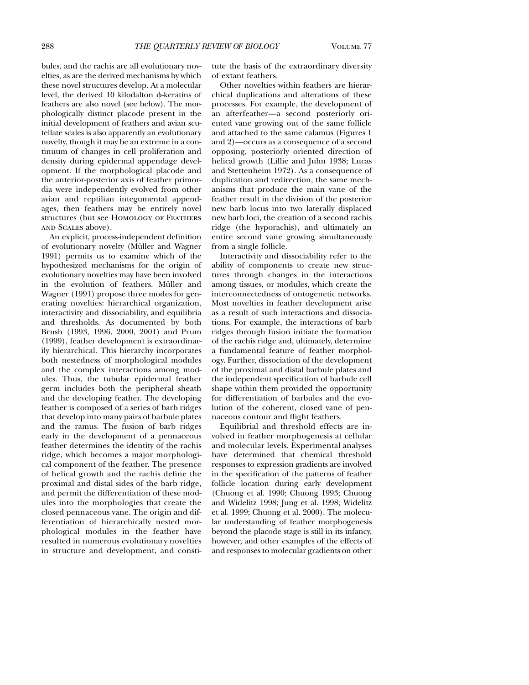bules, and the rachis are all evolutionary novelties, as are the derived mechanisms by which these novel structures develop. At a molecular level, the derived 10 kilodalton φ-keratins of feathers are also novel (see below). The morphologically distinct placode present in the initial development of feathers and avian scutellate scales is also apparently an evolutionary novelty, though it may be an extreme in a continuum of changes in cell proliferation and density during epidermal appendage development. If the morphological placode and the anterior-posterior axis of feather primordia were independently evolved from other avian and reptilian integumental appendages, then feathers may be entirely novel structures (but see Homology of Feathers and Scales above).

An explicit, process-independent definition of evolutionary novelty (Müller and Wagner 1991) permits us to examine which of the hypothesized mechanisms for the origin of evolutionary novelties may have been involved in the evolution of feathers. Müller and Wagner (1991) propose three modes for generating novelties: hierarchical organization, interactivity and dissociability, and equilibria and thresholds. As documented by both Brush (1993, 1996, 2000, 2001) and Prum (1999), feather development is extraordinarily hierarchical. This hierarchy incorporates both nestedness of morphological modules and the complex interactions among modules. Thus, the tubular epidermal feather germ includes both the peripheral sheath and the developing feather. The developing feather is composed of a series of barb ridges that develop into many pairs of barbule plates and the ramus. The fusion of barb ridges early in the development of a pennaceous feather determines the identity of the rachis ridge, which becomes a major morphological component of the feather. The presence of helical growth and the rachis define the proximal and distal sides of the barb ridge, and permit the differentiation of these modules into the morphologies that create the closed pennaceous vane. The origin and differentiation of hierarchically nested morphological modules in the feather have resulted in numerous evolutionary novelties in structure and development, and constitute the basis of the extraordinary diversity of extant feathers.

Other novelties within feathers are hierarchical duplications and alterations of these processes. For example, the development of an afterfeather—a second posteriorly oriented vane growing out of the same follicle and attached to the same calamus (Figures 1 and 2)—occurs as a consequence of a second opposing, posteriorly oriented direction of helical growth (Lillie and Juhn 1938; Lucas and Stettenheim 1972). As a consequence of duplication and redirection, the same mechanisms that produce the main vane of the feather result in the division of the posterior new barb locus into two laterally displaced new barb loci, the creation of a second rachis ridge (the hyporachis), and ultimately an entire second vane growing simultaneously from a single follicle.

Interactivity and dissociability refer to the ability of components to create new structures through changes in the interactions among tissues, or modules, which create the interconnectedness of ontogenetic networks. Most novelties in feather development arise as a result of such interactions and dissociations. For example, the interactions of barb ridges through fusion initiate the formation of the rachis ridge and, ultimately, determine a fundamental feature of feather morphology. Further, dissociation of the development of the proximal and distal barbule plates and the independent specification of barbule cell shape within them provided the opportunity for differentiation of barbules and the evolution of the coherent, closed vane of pennaceous contour and flight feathers.

Equilibrial and threshold effects are involved in feather morphogenesis at cellular and molecular levels. Experimental analyses have determined that chemical threshold responses to expression gradients are involved in the specification of the patterns of feather follicle location during early development (Chuong et al. 1990; Chuong 1993; Chuong and Widelitz 1998; Jung et al. 1998; Widelitz et al. 1999; Chuong et al. 2000). The molecular understanding of feather morphogenesis beyond the placode stage is still in its infancy, however, and other examples of the effects of and responses to molecular gradients on other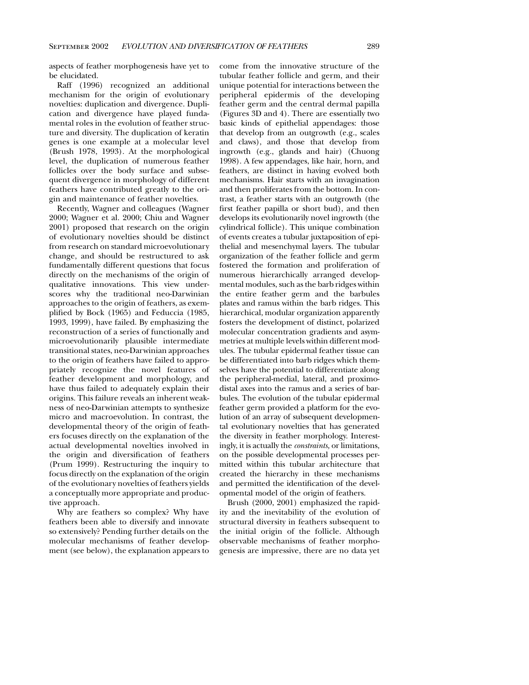aspects of feather morphogenesis have yet to be elucidated.

Raff (1996) recognized an additional mechanism for the origin of evolutionary novelties: duplication and divergence. Duplication and divergence have played fundamental roles in the evolution of feather structure and diversity. The duplication of keratin genes is one example at a molecular level (Brush 1978, 1993). At the morphological level, the duplication of numerous feather follicles over the body surface and subsequent divergence in morphology of different feathers have contributed greatly to the origin and maintenance of feather novelties.

Recently, Wagner and colleagues (Wagner 2000; Wagner et al. 2000; Chiu and Wagner 2001) proposed that research on the origin of evolutionary novelties should be distinct from research on standard microevolutionary change, and should be restructured to ask fundamentally different questions that focus directly on the mechanisms of the origin of qualitative innovations. This view underscores why the traditional neo-Darwinian approaches to the origin of feathers, as exemplified by Bock (1965) and Feduccia (1985, 1993, 1999), have failed. By emphasizing the reconstruction of a series of functionally and microevolutionarily plausible intermediate transitional states, neo-Darwinian approaches to the origin of feathers have failed to appropriately recognize the novel features of feather development and morphology, and have thus failed to adequately explain their origins. This failure reveals an inherent weakness of neo-Darwinian attempts to synthesize micro and macroevolution. In contrast, the developmental theory of the origin of feathers focuses directly on the explanation of the actual developmental novelties involved in the origin and diversification of feathers (Prum 1999). Restructuring the inquiry to focus directly on the explanation of the origin of the evolutionary novelties of feathers yields a conceptually more appropriate and productive approach.

Why are feathers so complex? Why have feathers been able to diversify and innovate so extensively? Pending further details on the molecular mechanisms of feather development (see below), the explanation appears to come from the innovative structure of the tubular feather follicle and germ, and their unique potential for interactions between the peripheral epidermis of the developing feather germ and the central dermal papilla (Figures 3D and 4). There are essentially two basic kinds of epithelial appendages: those that develop from an outgrowth (e.g., scales and claws), and those that develop from ingrowth (e.g., glands and hair) (Chuong 1998). A few appendages, like hair, horn, and feathers, are distinct in having evolved both mechanisms. Hair starts with an invagination and then proliferates from the bottom. In contrast, a feather starts with an outgrowth (the first feather papilla or short bud), and then develops its evolutionarily novel ingrowth (the cylindrical follicle). This unique combination of events creates a tubular juxtaposition of epithelial and mesenchymal layers. The tubular organization of the feather follicle and germ fostered the formation and proliferation of numerous hierarchically arranged developmental modules, such as the barb ridges within the entire feather germ and the barbules plates and ramus within the barb ridges. This hierarchical, modular organization apparently fosters the development of distinct, polarized molecular concentration gradients and asymmetries at multiple levels within different modules. The tubular epidermal feather tissue can be differentiated into barb ridges which themselves have the potential to differentiate along the peripheral-medial, lateral, and proximodistal axes into the ramus and a series of barbules. The evolution of the tubular epidermal feather germ provided a platform for the evolution of an array of subsequent developmental evolutionary novelties that has generated the diversity in feather morphology. Interestingly, it is actually the *constraints,* or limitations, on the possible developmental processes permitted within this tubular architecture that created the hierarchy in these mechanisms and permitted the identification of the developmental model of the origin of feathers.

Brush (2000, 2001) emphasized the rapidity and the inevitability of the evolution of structural diversity in feathers subsequent to the initial origin of the follicle. Although observable mechanisms of feather morphogenesis are impressive, there are no data yet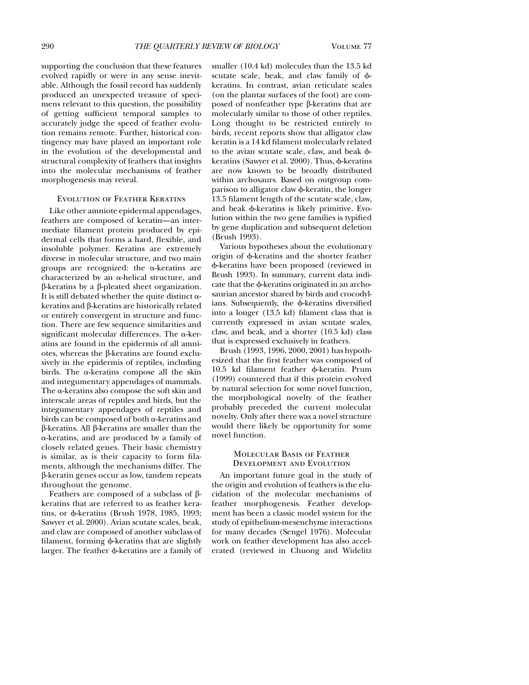supporting the conclusion that these features evolved rapidly or were in any sense inevitable. Although the fossil record has suddenly produced an unexpected treasure of specimens relevant to this question, the possibility of getting sufficient temporal samples to accurately judge the speed of feather evolution remains remote. Further, historical contingency may have played an important role in the evolution of the developmental and structural complexity of feathers that insights into the molecular mechanisms of feather morphogenesis may reveal.

#### Evolution of Feather Keratins

Like other amniote epidermal appendages, feathers are composed of keratin—an intermediate filament protein produced by epidermal cells that forms a hard, flexible, and insoluble polymer. Keratins are extremely diverse in molecular structure, and two main groups are recognized: the  $\alpha$ -keratins are characterized by an  $\alpha$ -helical structure, and  $\beta$ -keratins by a  $\beta$ -pleated sheet organization. It is still debated whether the quite distinct  $\alpha$ keratins and b-keratins are historically related or entirely convergent in structure and function. There are few sequence similarities and significant molecular differences. The  $\alpha$ -keratins are found in the epidermis of all amniotes, whereas the  $\beta$ -keratins are found exclusively in the epidermis of reptiles, including birds. The  $\alpha$ -keratins compose all the skin and integumentary appendages of mammals. The  $\alpha$ -keratins also compose the soft skin and interscale areas of reptiles and birds, but the integumentary appendages of reptiles and birds can be composed of both  $\alpha$ -keratins and  $\beta$ -keratins. All  $\beta$ -keratins are smaller than the  $\alpha$ -keratins, and are produced by a family of closely related genes. Their basic chemistry is similar, as is their capacity to form filaments, although the mechanisms differ. The b-keratin genes occur as low, tandem repeats throughout the genome.

Feathers are composed of a subclass of  $\beta$ keratins that are referred to as feather keratins, or  $\varphi$ -keratins (Brush 1978, 1985, 1993; Sawyer et al. 2000). Avian scutate scales, beak, and claw are composed of another subclass of filament, forming  $\phi$ -keratins that are slightly larger. The feather  $\phi$ -keratins are a family of

smaller (10.4 kd) molecules than the 13.5 kd scutate scale, beak, and claw family of  $\phi$ keratins. In contrast, avian reticulate scales (on the plantar surfaces of the foot) are composed of nonfeather type  $\beta$ -keratins that are molecularly similar to those of other reptiles. Long thought to be restricted entirely to birds, recent reports show that alligator claw keratin is a 14 kd filament molecularly related to the avian scutate scale, claw, and beak  $\phi$ keratins (Sawyer et al. 2000). Thus,  $\phi$ -keratins are now known to be broadly distributed within archosaurs. Based on outgroup comparison to alligator claw  $\phi$ -keratin, the longer 13.5 filament length of the scutate scale, claw, and beak  $\varphi$ -keratins is likely primitive. Evolution within the two gene families is typified by gene duplication and subsequent deletion (Brush 1993).

Various hypotheses about the evolutionary origin of  $\varphi$ -keratins and the shorter feather --keratins have been proposed (reviewed in Brush 1993). In summary, current data indi- $\cot$  cate that the  $\phi$ -keratins originated in an archosaurian ancestor shared by birds and crocodylians. Subsequently, the  $\phi$ -keratins diversified into a longer (13.5 kd) filament class that is currently expressed in avian scutate scales, claw, and beak, and a shorter (10.5 kd) class that is expressed exclusively in feathers.

Brush (1993, 1996, 2000, 2001) has hypothesized that the first feather was composed of 10.5 kd filament feather φ-keratin. Prum (1999) countered that if this protein evolved by natural selection for some novel function, the morphological novelty of the feather probably preceded the current molecular novelty. Only after there was a novel structure would there likely be opportunity for some novel function.

## Molecular Basis of Feather Development and Evolution

An important future goal in the study of the origin and evolution of feathers is the elucidation of the molecular mechanisms of feather morphogenesis. Feather development has been a classic model system for the study of epithelium-mesenchyme interactions for many decades (Sengel 1976). Molecular work on feather development has also accelerated (reviewed in Chuong and Widelitz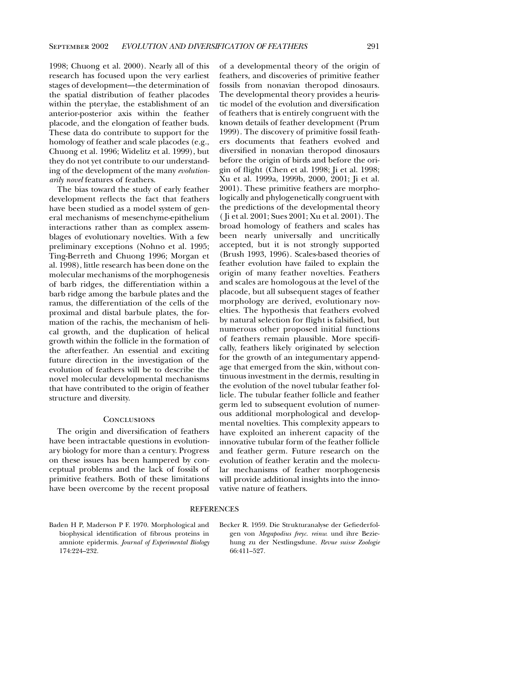1998; Chuong et al. 2000). Nearly all of this research has focused upon the very earliest stages of development—the determination of the spatial distribution of feather placodes within the pterylae, the establishment of an anterior-posterior axis within the feather placode, and the elongation of feather buds. These data do contribute to support for the homology of feather and scale placodes (e.g., Chuong et al. 1996; Widelitz et al. 1999), but they do not yet contribute to our understanding of the development of the many *evolutionarily novel* features of feathers.

The bias toward the study of early feather development reflects the fact that feathers have been studied as a model system of general mechanisms of mesenchyme-epithelium interactions rather than as complex assemblages of evolutionary novelties. With a few preliminary exceptions (Nohno et al. 1995; Ting-Berreth and Chuong 1996; Morgan et al. 1998), little research has been done on the molecular mechanisms of the morphogenesis of barb ridges, the differentiation within a barb ridge among the barbule plates and the ramus, the differentiation of the cells of the proximal and distal barbule plates, the formation of the rachis, the mechanism of helical growth, and the duplication of helical growth within the follicle in the formation of the afterfeather. An essential and exciting future direction in the investigation of the evolution of feathers will be to describe the novel molecular developmental mechanisms that have contributed to the origin of feather structure and diversity.

#### **CONCLUSIONS**

The origin and diversification of feathers have been intractable questions in evolutionary biology for more than a century. Progress on these issues has been hampered by conceptual problems and the lack of fossils of primitive feathers. Both of these limitations have been overcome by the recent proposal

of a developmental theory of the origin of feathers, and discoveries of primitive feather fossils from nonavian theropod dinosaurs. The developmental theory provides a heuristic model of the evolution and diversification of feathers that is entirely congruent with the known details of feather development (Prum 1999). The discovery of primitive fossil feathers documents that feathers evolved and diversified in nonavian theropod dinosaurs before the origin of birds and before the origin of flight (Chen et al. 1998; Ji et al. 1998; Xu et al. 1999a, 1999b, 2000, 2001; Ji et al. 2001). These primitive feathers are morphologically and phylogenetically congruent with the predictions of the developmental theory ( Ji et al. 2001; Sues 2001; Xu et al. 2001). The broad homology of feathers and scales has been nearly universally and uncritically accepted, but it is not strongly supported (Brush 1993, 1996). Scales-based theories of feather evolution have failed to explain the origin of many feather novelties. Feathers and scales are homologous at the level of the placode, but all subsequent stages of feather morphology are derived, evolutionary novelties. The hypothesis that feathers evolved by natural selection for flight is falsified, but numerous other proposed initial functions of feathers remain plausible. More specifically, feathers likely originated by selection for the growth of an integumentary appendage that emerged from the skin, without continuous investment in the dermis, resulting in the evolution of the novel tubular feather follicle. The tubular feather follicle and feather germ led to subsequent evolution of numerous additional morphological and developmental novelties. This complexity appears to have exploited an inherent capacity of the innovative tubular form of the feather follicle and feather germ. Future research on the evolution of feather keratin and the molecular mechanisms of feather morphogenesis will provide additional insights into the innovative nature of feathers.

#### **REFERENCES**

- Baden H P, Maderson P F. 1970. Morphological and biophysical identification of fibrous proteins in amniote epidermis. *Journal of Experimental Biology* 174:224–232.
- Becker R. 1959. Die Strukturanalyse der Gefiederfolgen von *Megapodius freyc. reinw.* und ihre Beziehung zu der Nestlingsdune. *Revue suisse Zoologie* 66:411–527.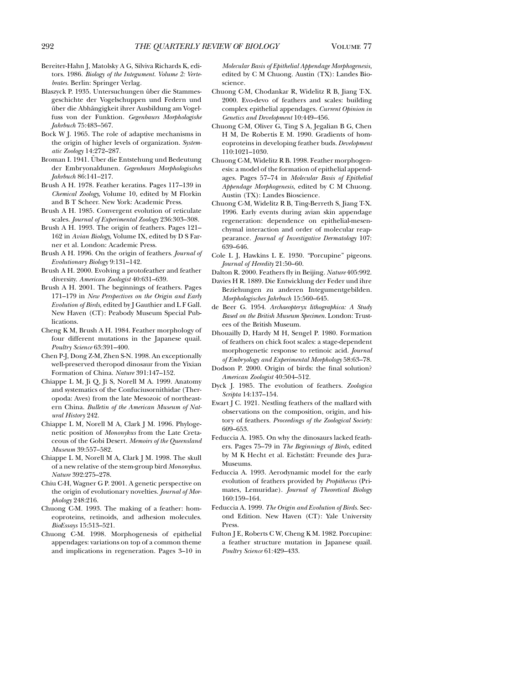- Bereiter-Hahn J, Matolsky A G, Silviva Richards K, editors. 1986. *Biology of the Integument. Volume 2: Vertebrates.* Berlin: Springer Verlag.
- Blaszyck P. 1935. Untersuchungen über die Stammesgeschichte der Vogelschuppen und Federn und über die Abhängigkeit ihrer Ausbildung am Vogelfuss von der Funktion. *Gegenbaurs Morphologishe Jahrbuch* 75:483–567.
- Bock W J. 1965. The role of adaptive mechanisms in the origin of higher levels of organization. *Systematic Zoology* 14:272–287.
- Broman I. 1941. Über die Entstehung und Bedeutung der Embryonaldunen. *Gegenbaurs Morphologisches Jahrbuch* 86:141–217.
- Brush A H. 1978. Feather keratins. Pages 117–139 in *Chemical Zoology,* Volume 10, edited by M Florkin and B T Scheer. New York: Academic Press.
- Brush A H. 1985. Convergent evolution of reticulate scales. *Journal of Experimental Zoology* 236:303–308.
- Brush A H. 1993. The origin of feathers. Pages 121– 162 in *Avian Biology,* Volume IX, edited by D S Farner et al. London: Academic Press.
- Brush A H. 1996. On the origin of feathers. *Journal of Evolutionary Biology* 9:131–142.
- Brush A H. 2000. Evolving a protofeather and feather diversity. *American Zoologist* 40:631–639.
- Brush A H. 2001. The beginnings of feathers. Pages 171–179 in *New Perspectives on the Origin and Early Evolution of Birds,* edited by J Gauthier and L F Gall. New Haven (CT): Peabody Museum Special Publications.
- Cheng K M, Brush A H. 1984. Feather morphology of four different mutations in the Japanese quail. *Poultry Science* 63:391–400.
- Chen P-J, Dong Z-M, Zhen S-N. 1998. An exceptionally well-preserved theropod dinosaur from the Yixian Formation of China. *Nature* 391:147–152.
- Chiappe L M, Ji Q, Ji S, Norell M A. 1999. Anatomy and systematics of the Confuciusornithidae (Theropoda: Aves) from the late Mesozoic of northeastern China. *Bulletin of the American Museum of Natural History* 242.
- Chiappe L M, Norell M A, Clark J M. 1996. Phylogenetic position of *Mononykus* from the Late Cretaceous of the Gobi Desert. *Memoirs of the Queensland Museum* 39:557–582.
- Chiappe L M, Norell M A, Clark J M. 1998. The skull of a new relative of the stem-group bird *Mononykus. Nature* 392:275–278.
- Chiu C-H, Wagner G P. 2001. A genetic perspective on the origin of evolutionary novelties. *Journal of Morphology* 248:216.
- Chuong C-M. 1993. The making of a feather: homeoproteins, retinoids, and adhesion molecules. *BioEssays* 15:513–521.
- Chuong C-M. 1998. Morphogenesis of epithelial appendages: variations on top of a common theme and implications in regeneration. Pages 3–10 in

*Molecular Basis of Epithelial Appendage Morphogenesis,* edited by C M Chuong. Austin (TX): Landes Bioscience.

- Chuong C-M, Chodankar R, Widelitz R B, Jiang T-X. 2000. Evo-devo of feathers and scales: building complex epithelial appendages. *Current Opinion in Genetics and Development* 10:449–456.
- Chuong C-M, Oliver G, Ting S A, Jegalian B G, Chen H M, De Robertis E M. 1990. Gradients of homeoproteins in developing feather buds. *Development* 110:1021–1030.
- Chuong C-M, Widelitz R B. 1998. Feather morphogenesis: a model of the formation of epithelial appendages. Pages 57–74 in *Molecular Basis of Epithelial Appendage Morphogenesis,* edited by C M Chuong. Austin (TX): Landes Bioscience.
- Chuong C-M, Widelitz R B, Ting-Berreth S, Jiang T-X. 1996. Early events during avian skin appendage regeneration: dependence on epithelial-mesenchymal interaction and order of molecular reappearance. *Journal of Investigative Dermatology* 107: 639–646.
- Cole L J, Hawkins L E. 1930. "Porcupine" pigeons. *Journal of Heredity* 21:50–60.
- Dalton R. 2000. Feathers fly in Beijing. *Nature* 405:992.
- Davies H R. 1889. Die Entwicklung der Feder und ihre Beziehungen zu anderen Integumentgebilden. *Morphologisches Jahrbuch* 15:560–645.
- de Beer G. 1954. *Archaeopteryx lithographica: A Study Based on the British Museum Specimen.* London: Trustees of the British Museum.
- Dhouailly D, Hardy M H, Sengel P. 1980. Formation of feathers on chick foot scales: a stage-dependent morphogenetic response to retinoic acid. *Journal of Embryology and Experimental Morphology* 58:63–78.
- Dodson P. 2000. Origin of birds: the final solution? *American Zoologist* 40:504–512.
- Dyck J. 1985. The evolution of feathers. *Zoologica Scripta* 14:137–154.
- Ewart J C. 1921. Nestling feathers of the mallard with observations on the composition, origin, and history of feathers. *Proceedings of the Zoological Society:* 609–653.
- Feduccia A. 1985. On why the dinosaurs lacked feathers. Pages 75–79 in *The Beginnings of Birds,* edited by M K Hecht et al. Eichstätt: Freunde des Jura-Museums.
- Feduccia A. 1993. Aerodynamic model for the early evolution of feathers provided by *Propithecus* (Primates, Lemuridae). *Journal of Theoretical Biology* 160:159–164.
- Feduccia A. 1999. *The Origin and Evolution of Birds.* Second Edition. New Haven (CT): Yale University Press.
- Fulton J E, Roberts C W, Cheng K M. 1982. Porcupine: a feather structure mutation in Japanese quail. *Poultry Science* 61:429–433.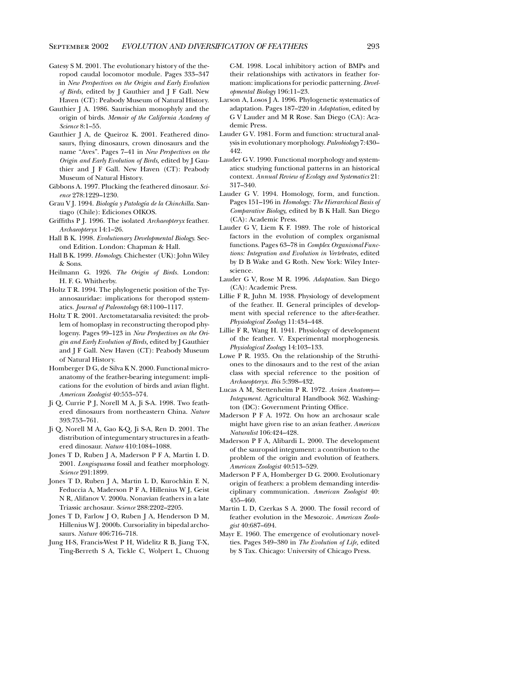- Gatesy S M. 2001. The evolutionary history of the theropod caudal locomotor module. Pages 333–347 in *New Perspectives on the Origin and Early Evolution of Birds,* edited by J Gauthier and J F Gall. New Haven (CT): Peabody Museum of Natural History.
- Gauthier J A. 1986. Saurischian monophyly and the origin of birds. *Memoir of the California Academy of Science* 8:1–55.
- Gauthier J A, de Queiroz K. 2001. Feathered dinosaurs, flying dinosaurs, crown dinosaurs and the name "Aves". Pages 7–41 in *New Perspectives on the Origin and Early Evolution of Birds,* edited by J Gauthier and J F Gall. New Haven (CT): Peabody Museum of Natural History.
- Gibbons A. 1997. Plucking the feathered dinosaur. *Science* 278:1229–1230.
- Grau V J. 1994. *Biologı´a y Patologı´a de la Chinchilla.* Santiago (Chile): Ediciones OIKOS.
- Griffiths P J. 1996. The isolated *Archaeopteryx* feather. *Archaeopteryx* 14:1–26.
- Hall B K. 1998. *Evolutionary Developmental Biology.* Second Edition. London: Chapman & Hall.
- Hall B K. 1999. *Homology.* Chichester (UK): John Wiley & Sons.
- Heilmann G. 1926. *The Origin of Birds.* London: H. F. G. Whitherby.
- Holtz T R. 1994. The phylogenetic position of the Tyrannosauridae: implications for theropod systematics. *Journal of Paleontology* 68:1100–1117.
- Holtz T R. 2001. Arctometatarsalia revisited: the problem of homoplasy in reconstructing theropod phylogeny. Pages 99–123 in *New Perspectives on the Origin and Early Evolution of Birds,* edited by J Gauthier and J F Gall. New Haven (CT): Peabody Museum of Natural History.
- Homberger D G, de Silva K N. 2000. Functional microanatomy of the feather-bearing integument: implications for the evolution of birds and avian flight. *American Zoologist* 40:553–574.
- Ji Q, Currie P J, Norell M A, Ji S-A. 1998. Two feathered dinosaurs from northeastern China. *Nature* 393:753–761.
- Ji Q, Norell M A, Gao K-Q, Ji S-A, Ren D. 2001. The distribution of integumentary structures in a feathered dinosaur. *Nature* 410:1084–1088.
- Jones T D, Ruben J A, Maderson P F A, Martin L D. 2001. *Longisquama* fossil and feather morphology. *Science* 291:1899.
- Jones T D, Ruben J A, Martin L D, Kurochkin E N, Feduccia A, Maderson P F A, Hillenius W J, Geist N R, Alifanov V. 2000a. Nonavian feathers in a late Triassic archosaur. *Science* 288:2202–2205.
- Jones T D, Farlow J O, Ruben J A, Henderson D M, Hillenius W J. 2000b. Cursoriality in bipedal archosaurs. *Nature* 406:716–718.
- Jung H-S, Francis-West P H, Widelitz R B, Jiang T-X, Ting-Berreth S A, Tickle C, Wolpert L, Chuong

C-M. 1998. Local inhibitory action of BMPs and their relationships with activators in feather formation: implications for periodic patterning.*Developmental Biology* 196:11–23.

- Larson A, Losos J A. 1996. Phylogenetic systematics of adaptation. Pages 187–220 in *Adaptation,* edited by G V Lauder and M R Rose. San Diego (CA): Academic Press.
- Lauder G V. 1981. Form and function: structural analysis in evolutionary morphology. *Paleobiology* 7:430– 442.
- Lauder G V. 1990. Functional morphology and systematics: studying functional patterns in an historical context. *Annual Review of Ecology and Systematics* 21: 317–340.
- Lauder G V. 1994. Homology, form, and function. Pages 151–196 in *Homology: The Hierarchical Basis of Comparative Biology,* edited by B K Hall. San Diego (CA): Academic Press.
- Lauder G V, Liem K F. 1989. The role of historical factors in the evolution of complex organismal functions. Pages 63–78 in *Complex Organismal Functions: Integration and Evolution in Vertebrates,* edited by D B Wake and G Roth. New York: Wiley Interscience.
- Lauder G V, Rose M R. 1996. *Adaptation.* San Diego (CA): Academic Press.
- Lillie F R, Juhn M. 1938. Physiology of development of the feather. II. General principles of development with special reference to the after-feather. *Physiological Zoology* 11:434–448.
- Lillie F R, Wang H. 1941. Physiology of development of the feather. V. Experimental morphogenesis. *Physiological Zoology* 14:103–133.
- Lowe P R. 1935. On the relationship of the Struthiones to the dinosaurs and to the rest of the avian class with special reference to the position of *Archaeopteryx. Ibis* 5:398–432.
- Lucas A M, Stettenheim P R. 1972. *Avian Anatomy Integument.* Agricultural Handbook 362. Washington (DC): Government Printing Office.
- Maderson P F A. 1972. On how an archosaur scale might have given rise to an avian feather. *American Naturalist* 106:424–428.
- Maderson P F A, Alibardi L. 2000. The development of the sauropsid integument: a contribution to the problem of the origin and evolution of feathers. *American Zoologist* 40:513–529.
- Maderson P F A, Homberger D G. 2000. Evolutionary origin of feathers: a problem demanding interdisciplinary communication. *American Zoologist* 40: 455–460.
- Martin L D, Czerkas S A. 2000. The fossil record of feather evolution in the Mesozoic. *American Zoologist* 40:687–694.
- Mayr E. 1960. The emergence of evolutionary novelties. Pages 349–380 in *The Evolution of Life,* edited by S Tax. Chicago: University of Chicago Press.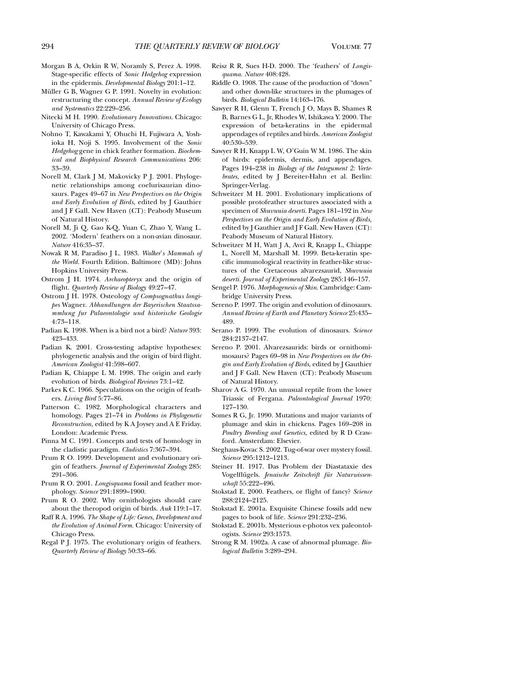- Morgan B A, Orkin R W, Noramly S, Perez A. 1998. Stage-specific effects of *Sonic Hedgehog* expression in the epidermis. *Developmental Biology* 201:1–12.
- Müller G B, Wagner G P. 1991. Novelty in evolution: restructuring the concept. *Annual Review of Ecology and Systematics* 22:229–256.
- Nitecki M H. 1990. *Evolutionary Innovations.* Chicago: University of Chicago Press.
- Nohno T, Kawakami Y, Ohuchi H, Fujiwara A, Yoshioka H, Noji S. 1995. Involvement of the *Sonic Hedgehog* gene in chick feather formation. *Biochemical and Biophysical Research Communications* 206: 33–39.
- Norell M, Clark J M, Makovicky P J. 2001. Phylogenetic relationships among coelurisaurian dinosaurs. Pages 49–67 in *New Perspectives on the Origin and Early Evolution of Birds,* edited by J Gauthier and J F Gall. New Haven (CT): Peabody Museum of Natural History.
- Norell M, Ji Q, Gao K-Q, Yuan C, Zhao Y, Wang L. 2002. 'Modern' feathers on a non-avian dinosaur. *Nature* 416:35–37.
- Nowak R M, Paradiso J L. 1983. *Walker*'*s Mammals of the World.* Fourth Edition. Baltimore (MD): Johns Hopkins University Press.
- Ostrom J H. 1974. *Archaeopteryx* and the origin of flight. *Quarterly Review of Biology* 49:27–47.
- Ostrom J H. 1978. Osteology *of Compsognathus longipes* Wagner. *Abhandlungen der Bayerischen Staatssammlung fur Palaeontologie und historische Geologie* 4:73–118.
- Padian K. 1998. When is a bird not a bird? *Nature* 393: 423–433.
- Padian K. 2001. Cross-testing adaptive hypotheses: phylogenetic analysis and the origin of bird flight. *American Zoologist* 41:598–607.
- Padian K, Chiappe L M. 1998. The origin and early evolution of birds. *Biological Reviews* 73:1–42.
- Parkes K C. 1966. Speculations on the origin of feathers. *Living Bird* 5:77–86.
- Patterson C. 1982. Morphological characters and homology. Pages 21–74 in *Problems in Phylogenetic Reconstruction,* edited by K A Joysey and A E Friday. London: Academic Press.
- Pinna M C. 1991. Concepts and tests of homology in the cladistic paradigm. *Cladistics* 7:367–394.
- Prum R O. 1999. Development and evolutionary origin of feathers. *Journal of Experimental Zoology* 285: 291–306.
- Prum R O. 2001. *Longisquama* fossil and feather morphology. *Science* 291:1899–1900.
- Prum R O. 2002. Why ornithologists should care about the theropod origin of birds. *Auk* 119:1–17.
- Raff R A. 1996. *The Shape of Life: Genes, Development and the Evolution of Animal Form.* Chicago: University of Chicago Press.
- Regal P J. 1975. The evolutionary origin of feathers. *Quarterly Review of Biology* 50:33–66.
- Reisz R R, Sues H-D. 2000. The 'feathers' of *Longisquama. Nature* 408:428.
- Riddle O. 1908. The cause of the production of "down" and other down-like structures in the plumages of birds. *Biological Bulletin* 14:163–176.
- Sawyer R H, Glenn T, French J O, Mays B, Shames R B, Barnes G L, Jr, Rhodes W, Ishikawa Y. 2000. The expression of beta-keratins in the epidermal appendages of reptiles and birds. *American Zoologist* 40:530–539.
- Sawyer R H, Knapp L W, O'Guin W M. 1986. The skin of birds: epidermis, dermis, and appendages. Pages 194–238 in *Biology of the Integument 2: Vertebrates,* edited by J Bereiter-Hahn et al. Berlin: Springer-Verlag.
- Schweitzer M H. 2001. Evolutionary implications of possible protofeather structures associated with a specimen of *Shuvuuia deserti.* Pages 181–192 in *New Perspectives on the Origin and Early Evolution of Birds,* edited by J Gauthier and J F Gall. New Haven (CT): Peabody Museum of Natural History.
- Schweitzer M H, Watt J A, Avci R, Knapp L, Chiappe L, Norell M, Marshall M. 1999. Beta-keratin specific immunological reactivity in feather-like structures of the Cretaceous alvarezsaurid, *Shuvuuia deserti. Journal of Experimental Zoology* 285:146–157.
- Sengel P. 1976. *Morphogenesis of Skin.* Cambridge: Cambridge University Press.
- Sereno P. 1997. The origin and evolution of dinosaurs. *Annual Review of Earth and Planetary Science* 25:435– 489.
- Serano P. 1999. The evolution of dinosaurs. *Science* 284:2137–2147.
- Sereno P. 2001. Alvarezsaurids: birds or ornithomimosaurs? Pages 69–98 in *New Perspectives on the Origin and Early Evolution of Birds,* edited by J Gauthier and J F Gall. New Haven (CT): Peabody Museum of Natural History.
- Sharov A G. 1970. An unusual reptile from the lower Triassic of Fergana. *Paleontological Journal* 1970: 127–130.
- Somes R G, Jr. 1990. Mutations and major variants of plumage and skin in chickens. Pages 169–208 in *Poultry Breeding and Genetics,* edited by R D Crawford. Amsterdam: Elsevier.
- Steghaus-Kovac S. 2002. Tug-of-war over mystery fossil. *Science* 295:1212–1213.
- Steiner H. 1917. Das Problem der Diastataxie des Vogelflu¨gels. *Jenaische Zeitschrift fu¨r Naturwissenschaft* 55:222–496.
- Stokstad E. 2000. Feathers, or flight of fancy? *Science* 288:2124–2125.
- Stokstad E. 2001a. Exquisite Chinese fossils add new pages to book of life. *Science* 291:232–236.
- Stokstad E. 2001b. Mysterious e-photos vex paleontologists. *Science* 293:1573.
- Strong R M. 1902a. A case of abnormal plumage. *Biological Bulletin* 3:289–294.